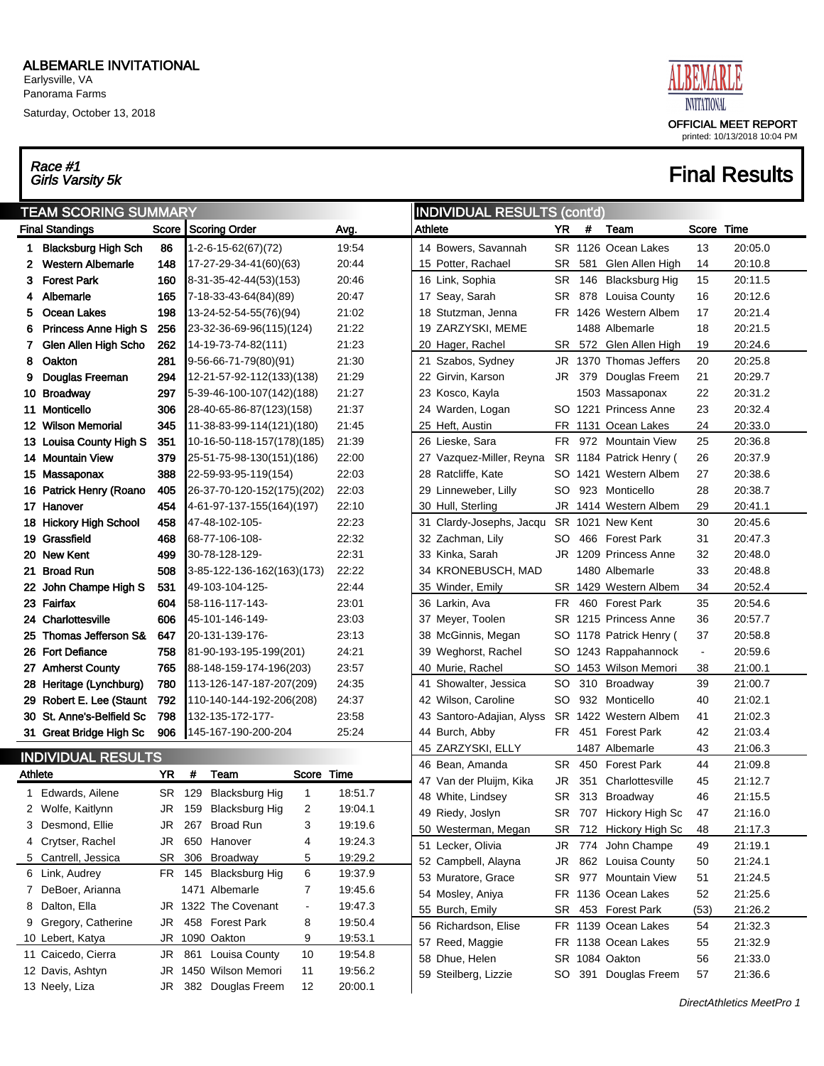Earlysville, VA Panorama Farms

Saturday, October 13, 2018

## Race #1<br>Girls Varsity 5k



|            | <b>TEAM SCORING SUMMARY</b>                                               |           |   |                               |                |         |         | <b>INDIVIDUAL RESULTS (cont'd)</b>   |           |     |                                      |                |                    |
|------------|---------------------------------------------------------------------------|-----------|---|-------------------------------|----------------|---------|---------|--------------------------------------|-----------|-----|--------------------------------------|----------------|--------------------|
|            | <b>Final Standings</b><br>Score<br>86<br><b>Blacksburg High Sch</b><br>1. |           |   | Scoring Order                 |                | Avg.    | Athlete |                                      | YR        | #   | Team                                 | Score Time     |                    |
|            |                                                                           |           |   | $1 - 2 - 6 - 15 - 62(67)(72)$ |                | 19:54   |         | 14 Bowers, Savannah                  |           |     | SR 1126 Ocean Lakes                  | 13             | 20:05.0            |
| 2          | <b>Western Albemarle</b>                                                  | 148       |   | 17-27-29-34-41(60)(63)        |                | 20:44   |         | 15 Potter, Rachael                   | SR.       | 581 | Glen Allen High                      | 14             | 20:10.8            |
| 3.         | <b>Forest Park</b>                                                        | 160       |   | 8-31-35-42-44(53)(153)        |                | 20:46   |         | 16 Link, Sophia                      | <b>SR</b> | 146 | <b>Blacksburg Hig</b>                | 15             | 20:11.5            |
| 4          | Albemarle                                                                 | 165       |   | 7-18-33-43-64(84)(89)         |                | 20:47   |         | 17 Seay, Sarah                       | SR        |     | 878 Louisa County                    | 16             | 20:12.6            |
| 5          | Ocean Lakes                                                               | 198       |   | 13-24-52-54-55(76)(94)        |                | 21:02   |         | 18 Stutzman, Jenna                   |           |     | FR 1426 Western Albem                | 17             | 20:21.4            |
| 6          | <b>Princess Anne High S</b>                                               | 256       |   | 23-32-36-69-96(115)(124)      |                | 21:22   |         | 19 ZARZYSKI, MEME                    |           |     | 1488 Albemarle                       | 18             | 20:21.5            |
| 7          | Glen Allen High Scho                                                      | 262       |   | 14-19-73-74-82(111)           |                | 21:23   |         | 20 Hager, Rachel                     | SR        |     | 572 Glen Allen High                  | 19             | 20:24.6            |
| 8          | Oakton                                                                    | 281       |   | 9-56-66-71-79(80)(91)         |                | 21:30   |         | 21 Szabos, Sydney                    | JR        |     | 1370 Thomas Jeffers                  | 20             | 20:25.8            |
| 9          | Douglas Freeman                                                           | 294       |   | 12-21-57-92-112(133)(138)     |                | 21:29   |         | 22 Girvin, Karson                    | JR        |     | 379 Douglas Freem                    | 21             | 20:29.7            |
|            | 10 Broadway                                                               | 297       |   | 5-39-46-100-107(142)(188)     |                | 21:27   |         | 23 Kosco, Kayla                      |           |     | 1503 Massaponax                      | 22             | 20:31.2            |
| 11.        | Monticello                                                                | 306       |   | 28-40-65-86-87(123)(158)      |                | 21:37   |         | 24 Warden, Logan                     |           |     | SO 1221 Princess Anne                | 23             | 20:32.4            |
|            | 12 Wilson Memorial                                                        | 345       |   | 11-38-83-99-114(121)(180)     |                | 21:45   |         | 25 Heft, Austin                      |           |     | FR 1131 Ocean Lakes                  | 24             | 20:33.0            |
|            | 13 Louisa County High S                                                   | 351       |   | 10-16-50-118-157(178)(185)    |                | 21:39   |         | 26 Lieske, Sara                      | FR        |     | 972 Mountain View                    | 25             | 20:36.8            |
|            | 14 Mountain View                                                          | 379       |   | 25-51-75-98-130(151)(186)     |                | 22:00   |         | 27 Vazquez-Miller, Reyna             |           |     | SR 1184 Patrick Henry (              | 26             | 20:37.9            |
|            | 15 Massaponax                                                             | 388       |   | 22-59-93-95-119(154)          |                | 22:03   |         | 28 Ratcliffe, Kate                   | SO.       |     | 1421 Western Albem                   | 27             | 20:38.6            |
|            | 16 Patrick Henry (Roano                                                   | 405       |   | 26-37-70-120-152(175)(202)    |                | 22:03   |         | 29 Linneweber, Lilly                 | SO        |     | 923 Monticello                       | 28             | 20:38.7            |
|            | 17 Hanover                                                                | 454       |   | 4-61-97-137-155(164)(197)     |                | 22:10   |         | 30 Hull, Sterling                    | JR        |     | 1414 Western Albem                   | 29             | 20:41.1            |
|            | 18 Hickory High School                                                    | 458       |   | 47-48-102-105-                |                | 22:23   |         | 31 Clardy-Josephs, Jacqu             |           |     | SR 1021 New Kent                     | 30             | 20:45.6            |
|            | 19 Grassfield                                                             | 468       |   | 68-77-106-108-                |                | 22:32   |         | 32 Zachman, Lily                     | SO.       |     | 466 Forest Park                      | 31             | 20:47.3            |
|            | 20 New Kent                                                               | 499       |   | 30-78-128-129-                |                | 22:31   |         | 33 Kinka, Sarah                      | JR        |     | 1209 Princess Anne                   | 32             | 20:48.0            |
|            | 21 Broad Run                                                              | 508       |   | 3-85-122-136-162(163)(173)    |                | 22:22   |         | 34 KRONEBUSCH, MAD                   |           |     | 1480 Albemarle                       | 33             | 20:48.8            |
| 22         | John Champe High S                                                        | 531       |   | 49-103-104-125-               |                | 22:44   |         | 35 Winder, Emily                     |           |     | SR 1429 Western Albem                | 34             | 20:52.4            |
|            | 23 Fairfax                                                                | 604       |   | 58-116-117-143-               |                | 23:01   |         | 36 Larkin, Ava                       | FR        |     | 460 Forest Park                      | 35             | 20:54.6            |
|            | 24 Charlottesville                                                        | 606       |   | 45-101-146-149-               |                | 23:03   |         | 37 Meyer, Toolen                     |           |     | SR 1215 Princess Anne                | 36             | 20:57.7            |
|            | 25 Thomas Jefferson S&                                                    | 647       |   | 20-131-139-176-               |                | 23:13   |         | 38 McGinnis, Megan                   | SO.       |     | 1178 Patrick Henry (                 | 37             | 20:58.8            |
|            | 26 Fort Defiance                                                          | 758       |   | 81-90-193-195-199(201)        |                | 24:21   |         | 39 Weghorst, Rachel                  | SO.       |     | 1243 Rappahannock                    | $\blacksquare$ | 20:59.6            |
|            | 27 Amherst County                                                         | 765       |   | 88-148-159-174-196(203)       |                | 23:57   |         | 40 Murie, Rachel                     | SO.       |     | 1453 Wilson Memori                   | 38             | 21:00.1            |
|            | 28 Heritage (Lynchburg)                                                   | 780       |   | (113-126-147-187-207(209)     |                | 24:35   |         | 41 Showalter, Jessica                | SO        |     | 310 Broadway                         | 39             | 21:00.7            |
|            | 29 Robert E. Lee (Staunt                                                  | 792       |   | 110-140-144-192-206(208)      |                | 24:37   |         | 42 Wilson, Caroline                  | SO        |     | 932 Monticello                       | 40             | 21:02.1            |
|            | 30 St. Anne's-Belfield Sc                                                 | 798       |   | 132-135-172-177-              |                | 23:58   |         | 43 Santoro-Adajian, Alyss            |           |     | SR 1422 Western Albem                | 41             | 21:02.3            |
|            | 31 Great Bridge High Sc                                                   | 906       |   | 145-167-190-200-204           |                | 25:24   |         | 44 Burch, Abby                       | FR.       | 451 | <b>Forest Park</b><br>1487 Albemarle | 42             | 21:03.4            |
|            | <b>INDIVIDUAL RESULTS</b>                                                 |           |   |                               |                |         |         | 45 ZARZYSKI, ELLY<br>46 Bean, Amanda | <b>SR</b> | 450 | <b>Forest Park</b>                   | 43<br>44       | 21:06.3<br>21:09.8 |
| Athlete    |                                                                           | <b>YR</b> | # | Team                          | Score Time     |         |         | 47 Van der Pluijm, Kika              | JR        |     | 351 Charlottesville                  | 45             | 21:12.7            |
| 1          | Edwards, Ailene                                                           | SR.       |   | 129 Blacksburg Hig            | $\mathbf{1}$   | 18:51.7 |         | 48 White, Lindsey                    | SR        |     | 313 Broadway                         | 46             | 21:15.5            |
|            | 2 Wolfe, Kaitlynn                                                         | JR        |   | 159 Blacksburg Hig            | 2              | 19:04.1 |         | 49 Riedy, Joslyn                     |           |     | SR 707 Hickory High Sc               | 47             | 21:16.0            |
|            | Desmond, Ellie                                                            | JR        |   | 267 Broad Run                 | 3              | 19:19.6 |         | 50 Westerman, Megan                  |           |     | SR 712 Hickory High Sc               | 48             | 21:17.3            |
|            | 4 Crytser, Rachel                                                         | JR        |   | 650 Hanover                   | 4              | 19:24.3 |         | 51 Lecker, Olivia                    | JR        |     | 774 John Champe                      | 49             | 21:19.1            |
| 5.         | Cantrell, Jessica                                                         | SR        |   | 306 Broadway                  | 5              | 19:29.2 |         | 52 Campbell, Alayna                  | JR        |     | 862 Louisa County                    | 50             | 21:24.1            |
|            | 6 Link, Audrey                                                            |           |   | FR 145 Blacksburg Hig         | 6              | 19:37.9 |         | 53 Muratore, Grace                   | SR        |     | 977 Mountain View                    | 51             | 21:24.5            |
| $\sqrt{2}$ | DeBoer, Arianna                                                           |           |   | 1471 Albemarle                | 7              | 19:45.6 |         | 54 Mosley, Aniya                     |           |     | FR 1136 Ocean Lakes                  | 52             | 21:25.6            |
| 8          | Dalton, Ella                                                              |           |   | JR 1322 The Covenant          | $\blacksquare$ | 19:47.3 |         | 55 Burch, Emily                      |           |     | SR 453 Forest Park                   | (53)           | 21:26.2            |
| 9          | Gregory, Catherine                                                        | JR        |   | 458 Forest Park               | 8              | 19:50.4 |         | 56 Richardson, Elise                 |           |     | FR 1139 Ocean Lakes                  | 54             | 21:32.3            |
|            | 10 Lebert, Katya                                                          |           |   | JR 1090 Oakton                | 9              | 19:53.1 |         | 57 Reed, Maggie                      |           |     | FR 1138 Ocean Lakes                  | 55             | 21:32.9            |
|            | 11 Caicedo, Cierra                                                        | JR        |   | 861 Louisa County             | 10             | 19:54.8 |         | 58 Dhue, Helen                       |           |     | SR 1084 Oakton                       | 56             | 21:33.0            |
|            | 12 Davis, Ashtyn                                                          |           |   | JR 1450 Wilson Memori         | 11             | 19:56.2 |         | 59 Steilberg, Lizzie                 |           |     | SO 391 Douglas Freem                 | 57             | 21:36.6            |
|            | 13 Neely, Liza                                                            |           |   | JR 382 Douglas Freem          | 12             | 20:00.1 |         |                                      |           |     |                                      |                |                    |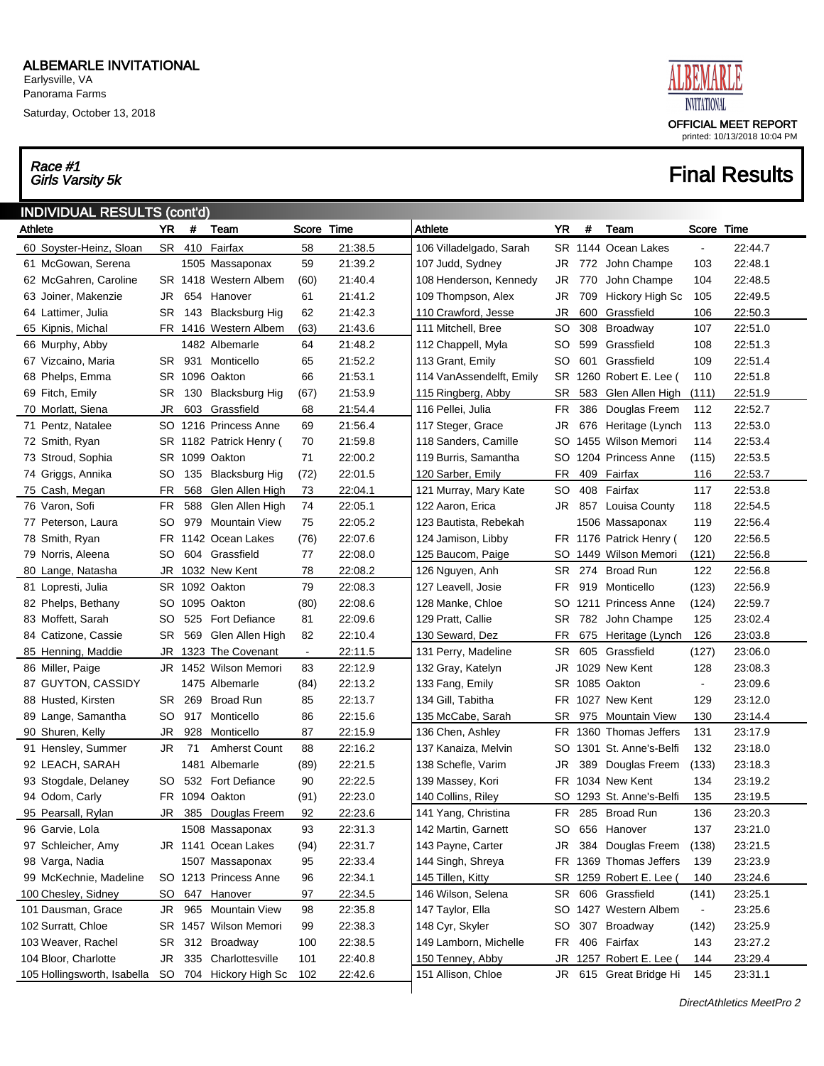Saturday, October 13, 2018

# Race #1<br>Girls Varsity 5k



| <b>INDIVIDUAL RESULTS (cont'd)</b> |           |      |                         |            |         |                          |           |     |                          |                |         |
|------------------------------------|-----------|------|-------------------------|------------|---------|--------------------------|-----------|-----|--------------------------|----------------|---------|
| Athlete                            | YR.       | $\#$ | Team                    | Score Time |         | Athlete                  | YR        | #   | Team                     | Score Time     |         |
| 60 Soyster-Heinz, Sloan            |           |      | SR 410 Fairfax          | 58         | 21:38.5 | 106 Villadelgado, Sarah  |           |     | SR 1144 Ocean Lakes      |                | 22:44.7 |
| 61 McGowan, Serena                 |           |      | 1505 Massaponax         | 59         | 21:39.2 | 107 Judd, Sydney         | JR        |     | 772 John Champe          | 103            | 22:48.1 |
| 62 McGahren, Caroline              |           |      | SR 1418 Western Albem   | (60)       | 21:40.4 | 108 Henderson, Kennedy   | JR        | 770 | John Champe              | 104            | 22:48.5 |
| 63 Joiner, Makenzie                | JR        |      | 654 Hanover             | 61         | 21:41.2 | 109 Thompson, Alex       | <b>JR</b> | 709 | Hickory High Sc          | 105            | 22:49.5 |
| 64 Lattimer, Julia                 |           |      | SR 143 Blacksburg Hig   | 62         | 21:42.3 | 110 Crawford, Jesse      | <b>JR</b> | 600 | Grassfield               | 106            | 22:50.3 |
| 65 Kipnis, Michal                  |           |      | FR 1416 Western Albem   | (63)       | 21:43.6 | 111 Mitchell, Bree       | <b>SO</b> | 308 | Broadway                 | 107            | 22.51.0 |
| 66 Murphy, Abby                    |           |      | 1482 Albemarle          | 64         | 21:48.2 | 112 Chappell, Myla       | <b>SO</b> | 599 | Grassfield               | 108            | 22:51.3 |
| 67 Vizcaino, Maria                 |           |      | SR 931 Monticello       | 65         | 21:52.2 | 113 Grant, Emily         | <b>SO</b> | 601 | Grassfield               | 109            | 22:51.4 |
| 68 Phelps, Emma                    |           |      | SR 1096 Oakton          | 66         | 21:53.1 | 114 VanAssendelft, Emily |           |     | SR 1260 Robert E. Lee (  | 110            | 22:51.8 |
| 69 Fitch, Emily                    | SR        |      | 130 Blacksburg Hig      | (67)       | 21:53.9 | 115 Ringberg, Abby       | <b>SR</b> |     | 583 Glen Allen High      | (111)          | 22:51.9 |
| 70 Morlatt, Siena                  | <b>JR</b> |      | 603 Grassfield          | 68         | 21:54.4 | 116 Pellei, Julia        | FR        |     | 386 Douglas Freem        | 112            | 22:52.7 |
| 71 Pentz, Natalee                  |           |      | SO 1216 Princess Anne   | 69         | 21.56.4 | 117 Steger, Grace        | <b>JR</b> |     | 676 Heritage (Lynch      | 113            | 22:53.0 |
| 72 Smith, Ryan                     |           |      | SR 1182 Patrick Henry ( | 70         | 21:59.8 | 118 Sanders, Camille     | SO        |     | 1455 Wilson Memori       | 114            | 22:53.4 |
| 73 Stroud, Sophia                  |           |      | SR 1099 Oakton          | 71         | 22:00.2 | 119 Burris, Samantha     | SO        |     | 1204 Princess Anne       | (115)          | 22:53.5 |
| 74 Griggs, Annika                  |           |      | SO 135 Blacksburg Hig   | (72)       | 22:01.5 | 120 Sarber, Emily        | <b>FR</b> |     | 409 Fairfax              | 116            | 22:53.7 |
| 75 Cash, Megan                     | <b>FR</b> |      | 568 Glen Allen High     | 73         | 22:04.1 | 121 Murray, Mary Kate    | <b>SO</b> |     | 408 Fairfax              | 117            | 22.53.8 |
| 76 Varon, Sofi                     | <b>FR</b> |      | 588 Glen Allen High     | 74         | 22:05.1 | 122 Aaron, Erica         |           |     | JR 857 Louisa County     | 118            | 22.54.5 |
| 77 Peterson, Laura                 | SO        |      | 979 Mountain View       | 75         | 22:05.2 | 123 Bautista, Rebekah    |           |     | 1506 Massaponax          | 119            | 22:56.4 |
| 78 Smith, Ryan                     |           |      | FR 1142 Ocean Lakes     | (76)       | 22:07.6 | 124 Jamison, Libby       |           |     | FR 1176 Patrick Henry (  | 120            | 22:56.5 |
| 79 Norris, Aleena                  | SO        |      | 604 Grassfield          | 77         | 22:08.0 | 125 Baucom, Paige        | SO.       |     | 1449 Wilson Memori       | (121)          | 22:56.8 |
| 80 Lange, Natasha                  |           |      | JR 1032 New Kent        | 78         | 22:08.2 | 126 Nguyen, Anh          | SR        |     | 274 Broad Run            | 122            | 22.56.8 |
| 81 Lopresti, Julia                 |           |      | SR 1092 Oakton          | 79         | 22:08.3 | 127 Leavell, Josie       | FR.       |     | 919 Monticello           | (123)          | 22:56.9 |
| 82 Phelps, Bethany                 |           |      | SO 1095 Oakton          | (80)       | 22:08.6 | 128 Manke, Chloe         | SO.       |     | 1211 Princess Anne       | (124)          | 22:59.7 |
| 83 Moffett, Sarah                  | SO        |      | 525 Fort Defiance       | 81         | 22:09.6 | 129 Pratt, Callie        | <b>SR</b> |     | 782 John Champe          | 125            | 23:02.4 |
| 84 Catizone, Cassie                | SR        |      | 569 Glen Allen High     | 82         | 22:10.4 | 130 Seward, Dez          | <b>FR</b> |     | 675 Heritage (Lynch      | 126            | 23:03.8 |
| 85 Henning, Maddie                 |           |      | JR 1323 The Covenant    | $\sim$     | 22:11.5 | 131 Perry, Madeline      | SR        |     | 605 Grassfield           | (127)          | 23:06.0 |
| 86 Miller, Paige                   |           |      | JR 1452 Wilson Memori   | 83         | 22:12.9 | 132 Gray, Katelyn        |           |     | JR 1029 New Kent         | 128            | 23:08.3 |
| 87 GUYTON, CASSIDY                 |           |      | 1475 Albemarle          | (84)       | 22:13.2 | 133 Fang, Emily          |           |     | SR 1085 Oakton           | $\blacksquare$ | 23:09.6 |
| 88 Husted, Kirsten                 |           |      | SR 269 Broad Run        | 85         | 22:13.7 | 134 Gill, Tabitha        |           |     | FR 1027 New Kent         | 129            | 23:12.0 |
| 89 Lange, Samantha                 |           |      | SO 917 Monticello       | 86         | 22:15.6 | 135 McCabe, Sarah        | <b>SR</b> |     | 975 Mountain View        | 130            | 23:14.4 |
| 90 Shuren, Kelly                   | JR.       | 928  | Monticello              | 87         | 22:15.9 | 136 Chen, Ashley         |           |     | FR 1360 Thomas Jeffers   | 131            | 23:17.9 |
| 91 Hensley, Summer                 | JR        | -71  | <b>Amherst Count</b>    | 88         | 22:16.2 | 137 Kanaiza, Melvin      | SO        |     | 1301 St. Anne's-Belfi    | 132            | 23:18.0 |
| 92 LEACH, SARAH                    |           |      | 1481 Albemarle          | (89)       | 22:21.5 | 138 Schefle, Varim       | <b>JR</b> |     | 389 Douglas Freem        | (133)          | 23:18.3 |
| 93 Stogdale, Delaney               | SO.       |      | 532 Fort Defiance       | 90         | 22:22.5 | 139 Massey, Kori         | FR        |     | 1034 New Kent            | 134            | 23:19.2 |
| 94 Odom, Carly                     |           |      | FR 1094 Oakton          | (91)       | 22:23.0 | 140 Collins, Riley       |           |     | SO 1293 St. Anne's-Belfi | 135            | 23:19.5 |
| 95 Pearsall, Rylan                 | JR        | 385  | Douglas Freem           | 92         | 22:23.6 | 141 Yang, Christina      |           |     | FR 285 Broad Run         | 136            | 23:20.3 |
| 96 Garvie, Lola                    |           |      | 1508 Massaponax         | 93         | 22:31.3 | 142 Martin, Garnett      | SO        |     | 656 Hanover              | 137            | 23:21.0 |
| 97 Schleicher, Amy                 |           |      | JR 1141 Ocean Lakes     | (94)       | 22:31.7 | 143 Payne, Carter        | <b>JR</b> |     | 384 Douglas Freem        | (138)          | 23:21.5 |
| 98 Varga, Nadia                    |           |      | 1507 Massaponax         | 95         | 22:33.4 | 144 Singh, Shreya        | FR        |     | 1369 Thomas Jeffers      | 139            | 23:23.9 |
| 99 McKechnie, Madeline             |           |      | SO 1213 Princess Anne   | 96         | 22:34.1 | 145 Tillen, Kitty        |           |     | SR 1259 Robert E. Lee (  | 140            | 23:24.6 |
| 100 Chesley, Sidney                | SO.       |      | 647 Hanover             | 97         | 22:34.5 | 146 Wilson, Selena       | SR        |     | 606 Grassfield           | (141)          | 23:25.1 |
| 101 Dausman, Grace                 | JR        |      | 965 Mountain View       | 98         | 22:35.8 | 147 Taylor, Ella         | SO.       |     | 1427 Western Albem       |                | 23:25.6 |
| 102 Surratt, Chloe                 |           |      | SR 1457 Wilson Memori   | 99         | 22:38.3 | 148 Cyr, Skyler          | <b>SO</b> |     | 307 Broadway             | (142)          | 23:25.9 |
| 103 Weaver, Rachel                 | SR        |      | 312 Broadway            | 100        | 22:38.5 | 149 Lamborn, Michelle    | <b>FR</b> |     | 406 Fairfax              | 143            | 23:27.2 |
| 104 Bloor, Charlotte               | JR        |      | 335 Charlottesville     | 101        | 22:40.8 | 150 Tenney, Abby         | JR        |     | 1257 Robert E. Lee       | 144            | 23:29.4 |
| 105 Hollingsworth, Isabella        | <b>SO</b> |      | 704 Hickory High Sc     | 102        | 22:42.6 | 151 Allison, Chloe       | JR        |     | 615 Great Bridge Hi      | 145            | 23:31.1 |
|                                    |           |      |                         |            |         |                          |           |     |                          |                |         |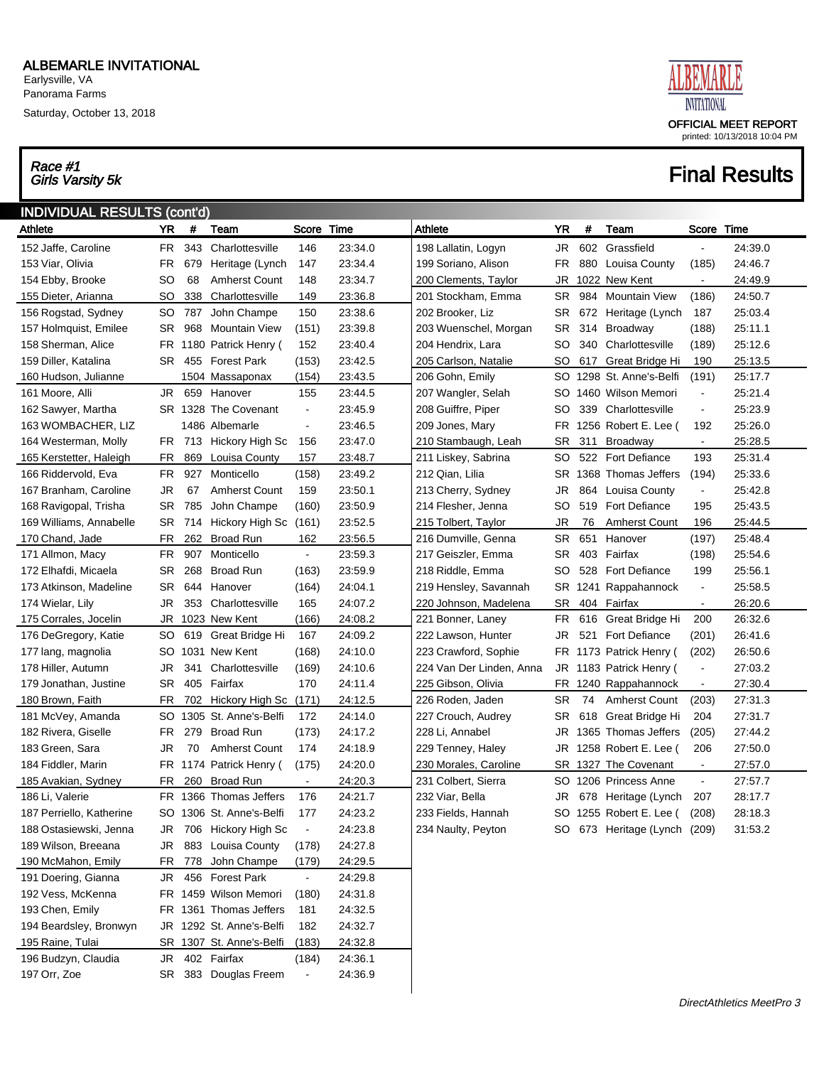Saturday, October 13, 2018

# Race #1<br>Girls Varsity 5k



| <b>INDIVIDUAL RESULTS (cont'd)</b> |     |      |                          |                |         |                          |           |     |                           |                |         |
|------------------------------------|-----|------|--------------------------|----------------|---------|--------------------------|-----------|-----|---------------------------|----------------|---------|
| Athlete                            | YR  | #    | Team                     | Score Time     |         | <b>Athlete</b>           | <b>YR</b> | #   | Team                      | Score          | Time    |
| 152 Jaffe, Caroline                | FR  | 343  | Charlottesville          | 146            | 23:34.0 | 198 Lallatin, Logyn      | JR        |     | 602 Grassfield            | $\blacksquare$ | 24:39.0 |
| 153 Viar, Olivia                   | FR  | 679  | Heritage (Lynch          | 147            | 23:34.4 | 199 Soriano, Alison      | FR.       | 880 | Louisa County             | (185)          | 24:46.7 |
| 154 Ebby, Brooke                   | SO  | 68   | <b>Amherst Count</b>     | 148            | 23:34.7 | 200 Clements, Taylor     | JR        |     | 1022 New Kent             | $\sim$         | 24:49.9 |
| 155 Dieter, Arianna                | SO. | 338  | Charlottesville          | 149            | 23:36.8 | 201 Stockham, Emma       | <b>SR</b> | 984 | <b>Mountain View</b>      | (186)          | 24:50.7 |
| 156 Rogstad, Sydney                | SO  | 787  | John Champe              | 150            | 23:38.6 | 202 Brooker, Liz         | SR.       |     | 672 Heritage (Lynch       | 187            | 25:03.4 |
| 157 Holmquist, Emilee              | SR  | 968  | <b>Mountain View</b>     | (151)          | 23:39.8 | 203 Wuenschel, Morgan    | <b>SR</b> | 314 | Broadway                  | (188)          | 25:11.1 |
| 158 Sherman, Alice                 | FR  | 1180 | Patrick Henry (          | 152            | 23:40.4 | 204 Hendrix, Lara        | SO        | 340 | Charlottesville           | (189)          | 25:12.6 |
| 159 Diller, Katalina               | SR  | 455  | <b>Forest Park</b>       | (153)          | 23:42.5 | 205 Carlson, Natalie     | SO        | 617 | Great Bridge Hi           | 190            | 25:13.5 |
| 160 Hudson, Julianne               |     |      | 1504 Massaponax          | (154)          | 23:43.5 | 206 Gohn, Emily          | <b>SO</b> |     | 1298 St. Anne's-Belfi     | (191)          | 25:17.7 |
| 161 Moore, Alli                    | JR  | 659  | Hanover                  | 155            | 23:44.5 | 207 Wangler, Selah       | SO        |     | 1460 Wilson Memori        | $\blacksquare$ | 25:21.4 |
| 162 Sawyer, Martha                 |     |      | SR 1328 The Covenant     | $\blacksquare$ | 23:45.9 | 208 Guiffre, Piper       | SO        | 339 | Charlottesville           | $\blacksquare$ | 25:23.9 |
| 163 WOMBACHER, LIZ                 |     |      | 1486 Albemarle           | $\blacksquare$ | 23:46.5 | 209 Jones, Mary          | FR        |     | 1256 Robert E. Lee (      | 192            | 25:26.0 |
| 164 Westerman, Molly               | FR  | 713  | Hickory High Sc          | 156            | 23:47.0 | 210 Stambaugh, Leah      | SR.       | 311 | <b>Broadway</b>           | $\sim$         | 25:28.5 |
| 165 Kerstetter, Haleigh            | FR  | 869  | Louisa County            | 157            | 23:48.7 | 211 Liskey, Sabrina      | SO        |     | 522 Fort Defiance         | 193            | 25:31.4 |
| 166 Riddervold, Eva                | FR  | 927  | Monticello               | (158)          | 23:49.2 | 212 Qian, Lilia          | SR.       |     | 1368 Thomas Jeffers       | (194)          | 25:33.6 |
| 167 Branham, Caroline              | JR  | 67   | <b>Amherst Count</b>     | 159            | 23:50.1 | 213 Cherry, Sydney       | JR        | 864 | Louisa County             | $\blacksquare$ | 25:42.8 |
| 168 Ravigopal, Trisha              | SR  | 785  | John Champe              | (160)          | 23:50.9 | 214 Flesher, Jenna       | SO        |     | 519 Fort Defiance         | 195            | 25:43.5 |
| 169 Williams, Annabelle            | SR  | 714  | Hickory High Sc (161)    |                | 23:52.5 | 215 Tolbert, Taylor      | JR        | 76  | <b>Amherst Count</b>      | 196            | 25:44.5 |
| 170 Chand, Jade                    | FR  | 262  | <b>Broad Run</b>         | 162            | 23:56.5 | 216 Dumville, Genna      | SR.       | 651 | Hanover                   | (197)          | 25:48.4 |
| 171 Allmon, Macy                   | FR  | 907  | Monticello               | $\blacksquare$ | 23:59.3 | 217 Geiszler, Emma       | SR.       |     | 403 Fairfax               | (198)          | 25:54.6 |
| 172 Elhafdi, Micaela               | SR  | 268  | <b>Broad Run</b>         | (163)          | 23:59.9 | 218 Riddle, Emma         | SO        |     | 528 Fort Defiance         | 199            | 25:56.1 |
| 173 Atkinson, Madeline             | SR  | 644  | Hanover                  | (164)          | 24:04.1 | 219 Hensley, Savannah    | SR        |     | 1241 Rappahannock         | $\blacksquare$ | 25:58.5 |
| 174 Wielar, Lily                   | JR  | 353  | Charlottesville          | 165            | 24:07.2 | 220 Johnson, Madelena    | SR.       |     | 404 Fairfax               | $\sim$         | 26:20.6 |
| 175 Corrales, Jocelin              | JR  |      | 1023 New Kent            | (166)          | 24:08.2 | 221 Bonner, Laney        | FR.       | 616 | Great Bridge Hi           | 200            | 26:32.6 |
| 176 DeGregory, Katie               | SO  | 619  | Great Bridge Hi          | 167            | 24:09.2 | 222 Lawson, Hunter       | JR        | 521 | <b>Fort Defiance</b>      | (201)          | 26:41.6 |
| 177 lang, magnolia                 | SO. |      | 1031 New Kent            | (168)          | 24:10.0 | 223 Crawford, Sophie     | FR        |     | 1173 Patrick Henry (      | (202)          | 26:50.6 |
| 178 Hiller, Autumn                 | JR  | 341  | Charlottesville          | (169)          | 24:10.6 | 224 Van Der Linden, Anna | JR        |     | 1183 Patrick Henry (      | $\blacksquare$ | 27:03.2 |
| 179 Jonathan, Justine              | SR  | 405  | Fairfax                  | 170            | 24:11.4 | 225 Gibson, Olivia       | FR        |     | 1240 Rappahannock         | $\blacksquare$ | 27:30.4 |
| 180 Brown, Faith                   | FR. | 702  | Hickory High Sc (171)    |                | 24:12.5 | 226 Roden, Jaden         | <b>SR</b> | 74  | <b>Amherst Count</b>      | (203)          | 27:31.3 |
| 181 McVey, Amanda                  | SO  |      | 1305 St. Anne's-Belfi    | 172            | 24:14.0 | 227 Crouch, Audrey       | SR.       |     | 618 Great Bridge Hi       | 204            | 27:31.7 |
| 182 Rivera, Giselle                | FR  | 279  | <b>Broad Run</b>         | (173)          | 24:17.2 | 228 Li, Annabel          | JR        |     | 1365 Thomas Jeffers       | (205)          | 27:44.2 |
| 183 Green, Sara                    | JR  | 70   | <b>Amherst Count</b>     | 174            | 24:18.9 | 229 Tenney, Haley        | JR        |     | 1258 Robert E. Lee (      | 206            | 27:50.0 |
| 184 Fiddler, Marin                 | FR  | 1174 | Patrick Henry (          | (175)          | 24:20.0 | 230 Morales, Caroline    | SR        |     | 1327 The Covenant         | $\sim$         | 27:57.0 |
| 185 Avakian, Sydney                | FR  | 260  | <b>Broad Run</b>         | $\blacksquare$ | 24:20.3 | 231 Colbert, Sierra      | SO        |     | 1206 Princess Anne        | $\blacksquare$ | 27:57.7 |
| 186 Li, Valerie                    |     |      | FR 1366 Thomas Jeffers   | 176            | 24:21.7 | 232 Viar, Bella          | JR        |     | 678 Heritage (Lynch       | 207            | 28:17.7 |
| 187 Perriello, Katherine           |     |      | SO 1306 St. Anne's-Belfi | 177            | 24:23.2 | 233 Fields, Hannah       |           |     | SO 1255 Robert E. Lee (   | (208)          | 28:18.3 |
| 188 Ostasiewski, Jenna             | JR  |      | 706 Hickory High Sc      | $\blacksquare$ | 24:23.8 | 234 Naulty, Peyton       | SO.       |     | 673 Heritage (Lynch (209) |                | 31:53.2 |
| 189 Wilson, Breeana                | JR  |      | 883 Louisa County        | (178)          | 24:27.8 |                          |           |     |                           |                |         |
| 190 McMahon, Emily                 | FR  |      | 778 John Champe          | (179)          | 24:29.5 |                          |           |     |                           |                |         |
| 191 Doering, Gianna                | JR  |      | 456 Forest Park          | $\blacksquare$ | 24:29.8 |                          |           |     |                           |                |         |
| 192 Vess, McKenna                  | FR  |      | 1459 Wilson Memori       | (180)          | 24:31.8 |                          |           |     |                           |                |         |
| 193 Chen, Emily                    |     |      | FR 1361 Thomas Jeffers   | 181            | 24:32.5 |                          |           |     |                           |                |         |
| 194 Beardsley, Bronwyn             | JR  |      | 1292 St. Anne's-Belfi    | 182            | 24:32.7 |                          |           |     |                           |                |         |
| 195 Raine, Tulai                   | SR. |      | 1307 St. Anne's-Belfi    | (183)          | 24:32.8 |                          |           |     |                           |                |         |
| 196 Budzyn, Claudia                | JR  |      | 402 Fairfax              | (184)          | 24:36.1 |                          |           |     |                           |                |         |
| 197 Orr, Zoe                       | SR. |      | 383 Douglas Freem        |                | 24:36.9 |                          |           |     |                           |                |         |
|                                    |     |      |                          |                |         |                          |           |     |                           |                |         |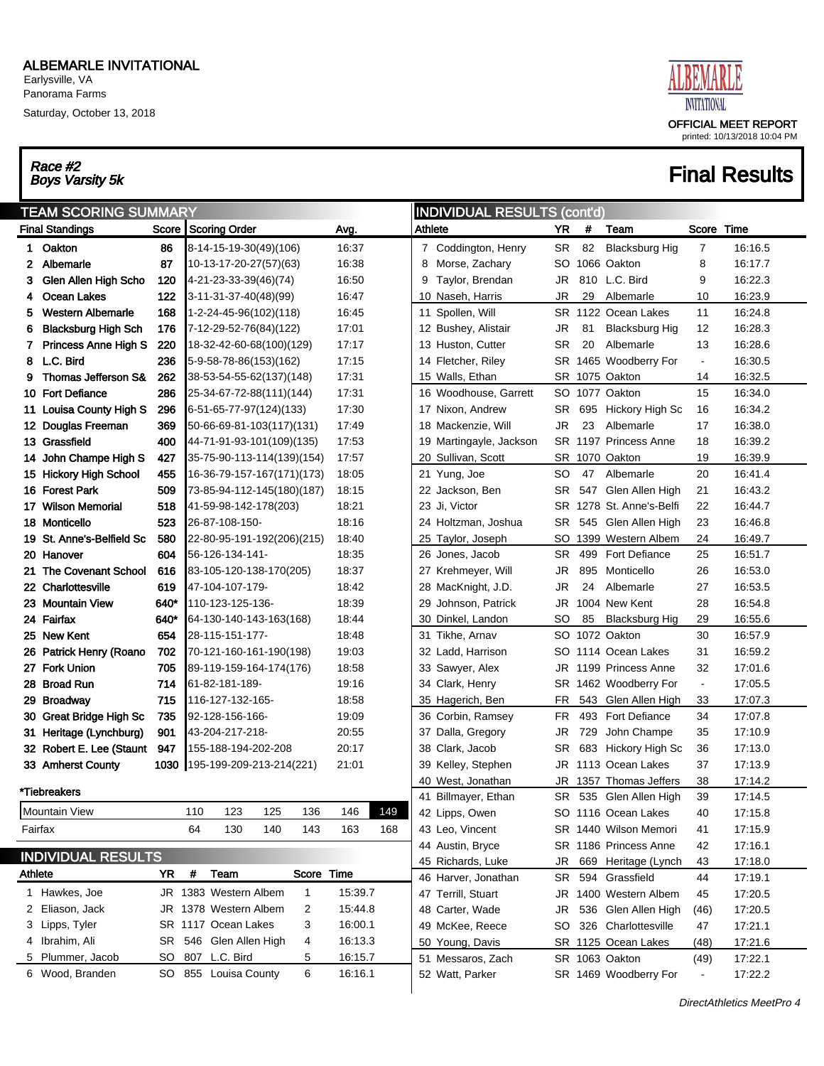Earlysville, VA Panorama Farms

Saturday, October 13, 2018

# Race #2<br>Boys Varsity 5k



## **Final Results**

| <b>TEAM SCORING SUMMARY</b><br>Score Scoring Order<br><b>Final Standings</b> |                                                     |            |     |                                        |              |                |     |               | <b>INDIVIDUAL RESULTS (cont'd)</b>     |           |            |                                |                |                    |
|------------------------------------------------------------------------------|-----------------------------------------------------|------------|-----|----------------------------------------|--------------|----------------|-----|---------------|----------------------------------------|-----------|------------|--------------------------------|----------------|--------------------|
|                                                                              |                                                     |            |     |                                        |              | Avg.           |     | Athlete       |                                        | YR        | #          | Team                           | Score Time     |                    |
| 1.                                                                           | Oakton                                              | 86         |     | 8-14-15-19-30(49)(106)                 |              | 16:37          |     |               | 7 Coddington, Henry                    | SR        | 82         | <b>Blacksburg Hig</b>          | 7              | 16:16.5            |
| 2                                                                            | Albemarle                                           | 87         |     | 10-13-17-20-27(57)(63)                 |              | 16:38          |     | 8             | Morse, Zachary                         | SO        |            | 1066 Oakton                    | 8              | 16:17.7            |
| 3                                                                            | Glen Allen High Scho                                | 120        |     | 4-21-23-33-39(46)(74)                  |              | 16:50          |     | 9             | Taylor, Brendan                        | JR        |            | 810 L.C. Bird                  | 9              | 16:22.3            |
| 4                                                                            | Ocean Lakes                                         | 122        |     | 3-11-31-37-40(48)(99)                  |              | 16:47          |     |               | 10 Naseh, Harris                       | JR        | 29         | Albemarle                      | 10             | 16:23.9            |
| 5                                                                            | <b>Western Albemarle</b>                            | 168        |     | 1-2-24-45-96(102)(118)                 |              | 16:45          |     |               | 11 Spollen, Will                       |           |            | SR 1122 Ocean Lakes            | 11             | 16:24.8            |
| 6                                                                            | <b>Blacksburg High Sch</b>                          | 176        |     | 7-12-29-52-76(84)(122)                 |              | 17:01          |     |               | 12 Bushey, Alistair                    | JR        | 81         | <b>Blacksburg Hig</b>          | 12             | 16:28.3            |
| 7                                                                            | <b>Princess Anne High S</b>                         | 220        |     | 18-32-42-60-68(100)(129)               |              | 17:17          |     |               | 13 Huston, Cutter                      | <b>SR</b> | 20         | Albemarle                      | 13             | 16:28.6            |
| 8                                                                            | L.C. Bird                                           | 236        |     | 5-9-58-78-86(153)(162)                 |              | 17:15          |     |               | 14 Fletcher, Riley                     | SR        |            | 1465 Woodberry For             | $\blacksquare$ | 16:30.5            |
| 9                                                                            | Thomas Jefferson S&                                 | 262        |     | 38-53-54-55-62(137)(148)               |              | 17:31          |     |               | 15 Walls, Ethan                        | SR        |            | 1075 Oakton                    | 14             | 16:32.5            |
|                                                                              | 10 Fort Defiance                                    | 286        |     | 25-34-67-72-88(111)(144)               |              | 17:31          |     |               | 16 Woodhouse, Garrett                  |           |            | SO 1077 Oakton                 | 15             | 16:34.0            |
| 11                                                                           | Louisa County High S                                | 296        |     | 6-51-65-77-97(124)(133)                |              | 17:30          |     |               | 17 Nixon, Andrew                       | SR.       | 695        | Hickory High Sc                | 16             | 16:34.2            |
|                                                                              | 12 Douglas Freeman                                  | 369        |     | 50-66-69-81-103(117)(131)              |              | 17:49          |     |               | 18 Mackenzie, Will                     | JR        | 23         | Albemarle                      | 17             | 16:38.0            |
|                                                                              | 13 Grassfield                                       | 400        |     | 44-71-91-93-101(109)(135)              |              | 17:53          |     |               | 19 Martingayle, Jackson                |           |            | SR 1197 Princess Anne          | 18             | 16:39.2            |
| 14                                                                           | John Champe High S                                  | 427        |     | 35-75-90-113-114(139)(154)             |              | 17:57          |     |               | 20 Sullivan, Scott                     | SR        |            | 1070 Oakton                    | 19             | 16:39.9            |
|                                                                              | 15 Hickory High School                              | 455        |     | 16-36-79-157-167(171)(173)             |              | 18:05          |     |               | 21 Yung, Joe                           | SO        | 47         | Albemarle                      | 20             | 16:41.4            |
|                                                                              | 16 Forest Park                                      | 509        |     | 73-85-94-112-145(180)(187)             |              | 18:15          |     |               | 22 Jackson, Ben                        | SR        |            | 547 Glen Allen High            | 21             | 16:43.2            |
| 17                                                                           | <b>Wilson Memorial</b>                              | 518        |     | 41-59-98-142-178(203)                  |              | 18:21          |     | 23 Ji, Victor |                                        | SR        |            | 1278 St. Anne's-Belfi          | 22             | 16:44.7            |
|                                                                              | 18 Monticello                                       | 523        |     | 26-87-108-150-                         |              | 18:16          |     |               | 24 Holtzman, Joshua                    | SR        |            | 545 Glen Allen High            | 23             | 16:46.8            |
|                                                                              | 19 St. Anne's-Belfield Sc                           | 580        |     | 22-80-95-191-192(206)(215)             |              | 18:40          |     |               | 25 Taylor, Joseph                      | SO        |            | 1399 Western Albem             | 24             | 16:49.7            |
|                                                                              | 20 Hanover                                          | 604        |     | 56-126-134-141-                        |              | 18:35          |     |               | 26 Jones, Jacob                        | SR.       | 499        | <b>Fort Defiance</b>           | 25             | 16:51.7            |
| 21                                                                           | The Covenant School                                 | 616        |     | 83-105-120-138-170(205)                |              | 18:37          |     |               | 27 Krehmeyer, Will                     | JR        | 895        | Monticello                     | 26             | 16:53.0            |
|                                                                              | 22 Charlottesville                                  | 619        |     | 47-104-107-179-                        |              | 18:42          |     |               | 28 MacKnight, J.D.                     | <b>JR</b> | 24         | Albemarle                      | 27             | 16:53.5            |
|                                                                              | 23 Mountain View                                    | 640*       |     | 110-123-125-136-                       |              | 18:39          |     |               | 29 Johnson, Patrick                    | <b>JR</b> |            | 1004 New Kent                  | 28             | 16:54.8            |
|                                                                              | 24 Fairfax                                          | 640*       |     | 64-130-140-143-163(168)                |              | 18:44          |     |               | 30 Dinkel, Landon                      | SO        | 85         | Blacksburg Hig                 | 29             | 16:55.6            |
|                                                                              | 25 New Kent                                         | 654        |     | 28-115-151-177-                        |              | 18:48          |     |               | 31 Tikhe, Arnav                        | SO        |            | 1072 Oakton                    | 30             | 16:57.9            |
|                                                                              | 26 Patrick Henry (Roano                             | 702        |     | 70-121-160-161-190(198)                |              | 19:03          |     |               | 32 Ladd, Harrison                      | SO        |            | 1114 Ocean Lakes               | 31             | 16:59.2            |
|                                                                              | 27 Fork Union                                       | 705        |     | 89-119-159-164-174(176)                |              | 18:58          |     |               | 33 Sawyer, Alex                        | JR        |            | 1199 Princess Anne             | 32             | 17:01.6            |
|                                                                              | 28 Broad Run                                        | 714        |     | 61-82-181-189-                         |              | 19:16          |     |               | 34 Clark, Henry                        | SR        |            | 1462 Woodberry For             | $\blacksquare$ | 17:05.5            |
|                                                                              | 29 Broadway                                         | 715        |     | 116-127-132-165-                       |              | 18:58          |     |               | 35 Hagerich, Ben                       | <b>FR</b> |            | 543 Glen Allen High            | 33             | 17:07.3            |
|                                                                              | 30 Great Bridge High Sc                             | 735<br>901 |     | 92-128-156-166-                        |              | 19:09          |     |               | 36 Corbin, Ramsey<br>37 Dalla, Gregory | FR.       |            | 493 Fort Defiance              | 34             | 17:07.8            |
|                                                                              | 31 Heritage (Lynchburg)<br>32 Robert E. Lee (Staunt | 947        |     | 43-204-217-218-<br>155-188-194-202-208 |              | 20:55<br>20:17 |     |               | 38 Clark, Jacob                        | JR<br>SR  | 729<br>683 | John Champe<br>Hickory High Sc | 35<br>36       | 17:10.9<br>17:13.0 |
|                                                                              | 33 Amherst County                                   | 1030       |     | 195-199-209-213-214(221)               |              | 21:01          |     |               | 39 Kelley, Stephen                     | JR        |            | 1113 Ocean Lakes               | 37             | 17:13.9            |
|                                                                              |                                                     |            |     |                                        |              |                |     | 40            | West, Jonathan                         | <b>JR</b> |            | 1357 Thomas Jeffers            | 38             | 17:14.2            |
|                                                                              | *Tiebreakers                                        |            |     |                                        |              |                |     |               | 41 Billmayer, Ethan                    | SR        |            | 535 Glen Allen High            | 39             | 17:14.5            |
|                                                                              | Mountain View                                       |            | 110 | 123<br>125                             | 136          | 146            | 149 |               | 42 Lipps, Owen                         |           |            | SO 1116 Ocean Lakes            | 40             | 17:15.8            |
|                                                                              | Fairfax                                             |            | 64  | 140<br>130                             | 143          | 163            | 168 |               | 43 Leo, Vincent                        |           |            | SR 1440 Wilson Memori          | 41             | 17:15.9            |
|                                                                              |                                                     |            |     |                                        |              |                |     |               | 44 Austin, Bryce                       |           |            | SR 1186 Princess Anne          | 42             | 17:16.1            |
|                                                                              | <b>INDIVIDUAL RESULTS</b>                           |            |     |                                        |              |                |     |               | 45 Richards, Luke                      | JR        |            | 669 Heritage (Lynch            | 43             | 17:18.0            |
| Athlete                                                                      |                                                     | <b>YR</b>  | #   | Team                                   | Score Time   |                |     |               | 46 Harver, Jonathan                    | SR        |            | 594 Grassfield                 | 44             | 17:19.1            |
|                                                                              | 1 Hawkes, Joe                                       |            |     | JR 1383 Western Albem                  | $\mathbf{1}$ | 15:39.7        |     |               | 47 Terrill, Stuart                     |           |            | JR 1400 Western Albem          | 45             | 17:20.5            |
|                                                                              | 2 Eliason, Jack                                     |            |     | JR 1378 Western Albem                  | 2            | 15:44.8        |     |               | 48 Carter, Wade                        | JR        |            | 536 Glen Allen High            | (46)           | 17:20.5            |
|                                                                              | 3 Lipps, Tyler                                      |            |     | SR 1117 Ocean Lakes                    | 3            | 16:00.1        |     |               | 49 McKee, Reece                        | SO        |            | 326 Charlottesville            | 47             | 17:21.1            |
|                                                                              | 4 Ibrahim, Ali                                      |            |     | SR 546 Glen Allen High                 | 4            | 16:13.3        |     |               | 50 Young, Davis                        |           |            | SR 1125 Ocean Lakes            | (48)           | 17:21.6            |
| 5                                                                            | Plummer, Jacob                                      | SO         |     | 807 L.C. Bird                          | 5            | 16:15.7        |     |               | 51 Messaros, Zach                      |           |            | SR 1063 Oakton                 | (49)           | 17:22.1            |
|                                                                              | 6 Wood, Branden                                     |            |     | SO 855 Louisa County                   | 6            | 16:16.1        |     |               | 52 Watt, Parker                        |           |            | SR 1469 Woodberry For          |                | 17:22.2            |

 $\overline{ }$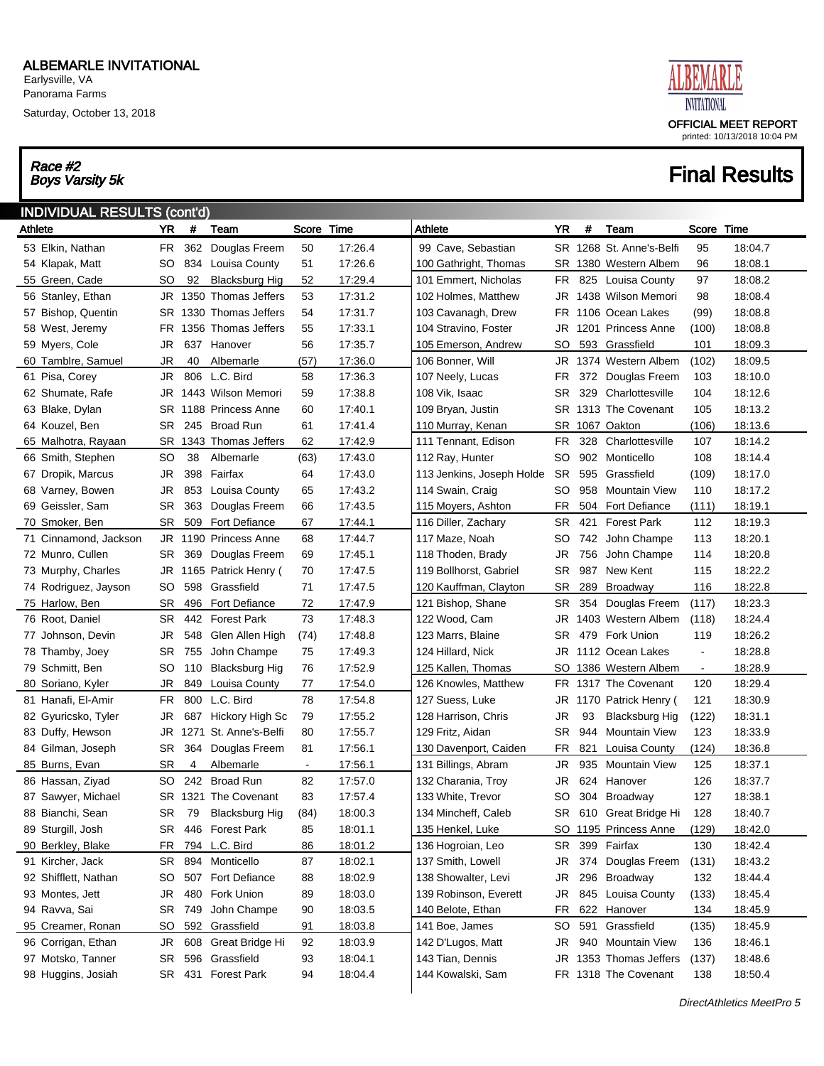Saturday, October 13, 2018

# Race #2<br>Boys Varsity 5k



| <b>INDIVIDUAL RESULTS (cont'd)</b> |           |        |                         |                |         |                           |           |     |                          |                |         |
|------------------------------------|-----------|--------|-------------------------|----------------|---------|---------------------------|-----------|-----|--------------------------|----------------|---------|
| Athlete                            | YR        | $\#$   | Team                    | Score Time     |         | Athlete                   | <b>YR</b> | #   | Team                     | Score Time     |         |
| 53 Elkin, Nathan                   | FR.       | 362    | Douglas Freem           | 50             | 17:26.4 | 99 Cave, Sebastian        |           |     | SR 1268 St. Anne's-Belfi | 95             | 18:04.7 |
| 54 Klapak, Matt                    | SO        | 834    | Louisa County           | 51             | 17:26.6 | 100 Gathright, Thomas     | SR        |     | 1380 Western Albem       | 96             | 18:08.1 |
| 55 Green, Cade                     | <b>SO</b> | 92     | <b>Blacksburg Hig</b>   | 52             | 17:29.4 | 101 Emmert. Nicholas      | FR        | 825 | Louisa County            | 97             | 18:08.2 |
| 56 Stanley, Ethan                  | JR        |        | 1350 Thomas Jeffers     | 53             | 17:31.2 | 102 Holmes, Matthew       | JR        |     | 1438 Wilson Memori       | 98             | 18:08.4 |
| 57 Bishop, Quentin                 |           |        | SR 1330 Thomas Jeffers  | 54             | 17:31.7 | 103 Cavanagh, Drew        | FR.       |     | 1106 Ocean Lakes         | (99)           | 18:08.8 |
| 58 West, Jeremy                    |           |        | FR 1356 Thomas Jeffers  | 55             | 17:33.1 | 104 Stravino, Foster      | JR        |     | 1201 Princess Anne       | (100)          | 18:08.8 |
| 59 Myers, Cole                     | JR        | 637    | Hanover                 | 56             | 17:35.7 | 105 Emerson, Andrew       | SO        | 593 | Grassfield               | 101            | 18:09.3 |
| 60 Tamblre, Samuel                 | <b>JR</b> | 40     | Albemarle               | (57)           | 17:36.0 | 106 Bonner, Will          | JR        |     | 1374 Western Albem       | (102)          | 18:09.5 |
| 61 Pisa, Corey                     | JR        |        | 806 L.C. Bird           | 58             | 17:36.3 | 107 Neely, Lucas          | FR.       |     | 372 Douglas Freem        | 103            | 18:10.0 |
| 62 Shumate, Rafe                   | JR        |        | 1443 Wilson Memori      | 59             | 17:38.8 | 108 Vik, Isaac            | SR.       | 329 | Charlottesville          | 104            | 18:12.6 |
| 63 Blake, Dylan                    |           |        | SR 1188 Princess Anne   | 60             | 17:40.1 | 109 Bryan, Justin         |           |     | SR 1313 The Covenant     | 105            | 18:13.2 |
| 64 Kouzel, Ben                     | SR.       | 245    | <b>Broad Run</b>        | 61             | 17:41.4 | 110 Murray, Kenan         | SR        |     | 1067 Oakton              | (106)          | 18:13.6 |
| 65 Malhotra, Rayaan                |           |        | SR 1343 Thomas Jeffers  | 62             | 17:42.9 | 111 Tennant, Edison       | FR.       | 328 | Charlottesville          | 107            | 18:14.2 |
| 66 Smith, Stephen                  | SO        | 38     | Albemarle               | (63)           | 17:43.0 | 112 Ray, Hunter           | SO        | 902 | Monticello               | 108            | 18:14.4 |
| 67 Dropik, Marcus                  | JR        | 398    | Fairfax                 | 64             | 17:43.0 | 113 Jenkins, Joseph Holde | <b>SR</b> | 595 | Grassfield               | (109)          | 18:17.0 |
| 68 Varney, Bowen                   | JR        | 853    | Louisa County           | 65             | 17:43.2 | 114 Swain, Craig          | SO        | 958 | <b>Mountain View</b>     | 110            | 18:17.2 |
| 69 Geissler, Sam                   | SR        | 363    | Douglas Freem           | 66             | 17:43.5 | 115 Moyers, Ashton        | FR.       | 504 | <b>Fort Defiance</b>     | (111)          | 18:19.1 |
| 70 Smoker, Ben                     | <b>SR</b> | 509    | <b>Fort Defiance</b>    | 67             | 17:44.1 | 116 Diller, Zachary       | SR.       | 421 | <b>Forest Park</b>       | 112            | 18:19.3 |
| 71 Cinnamond, Jackson              |           |        | JR 1190 Princess Anne   | 68             | 17:44.7 | 117 Maze, Noah            | SO        |     | 742 John Champe          | 113            | 18:20.1 |
| 72 Munro, Cullen                   | SR        | 369    | Douglas Freem           | 69             | 17:45.1 | 118 Thoden, Brady         | JR        | 756 | John Champe              | 114            | 18:20.8 |
| 73 Murphy, Charles                 |           |        | JR 1165 Patrick Henry ( | 70             | 17:47.5 | 119 Bollhorst, Gabriel    | SR        | 987 | New Kent                 | 115            | 18:22.2 |
| 74 Rodriguez, Jayson               | SO        | 598    | Grassfield              | 71             | 17:47.5 | 120 Kauffman, Clayton     | SR        | 289 | Broadway                 | 116            | 18:22.8 |
| 75 Harlow, Ben                     | <b>SR</b> | 496    | <b>Fort Defiance</b>    | 72             | 17:47.9 | 121 Bishop, Shane         | SR.       | 354 | Douglas Freem            | (117)          | 18:23.3 |
| 76 Root, Daniel                    | <b>SR</b> | 442    | <b>Forest Park</b>      | 73             | 17:48.3 | 122 Wood, Cam             | JR        |     | 1403 Western Albem       | (118)          | 18:24.4 |
| 77 Johnson, Devin                  | JR        | 548    | Glen Allen High         | (74)           | 17:48.8 | 123 Marrs, Blaine         | SR.       |     | 479 Fork Union           | 119            | 18:26.2 |
| 78 Thamby, Joey                    | SR        | 755    | John Champe             | 75             | 17:49.3 | 124 Hillard, Nick         | JR        |     | 1112 Ocean Lakes         | $\blacksquare$ | 18:28.8 |
| 79 Schmitt, Ben                    | <b>SO</b> | 110    | <b>Blacksburg Hig</b>   | 76             | 17:52.9 | 125 Kallen, Thomas        | SO        |     | 1386 Western Albem       | $\blacksquare$ | 18:28.9 |
| 80 Soriano, Kyler                  | <b>JR</b> | 849    | Louisa County           | 77             | 17:54.0 | 126 Knowles, Matthew      | FR.       |     | 1317 The Covenant        | 120            | 18:29.4 |
| 81 Hanafi, El-Amir                 | FR.       | 800    | L.C. Bird               | 78             | 17:54.8 | 127 Suess, Luke           | JR        |     | 1170 Patrick Henry (     | 121            | 18:30.9 |
| 82 Gyuricsko, Tyler                | JR        | 687    | Hickory High Sc         | 79             | 17:55.2 | 128 Harrison, Chris       | JR        | 93  | <b>Blacksburg Hig</b>    | (122)          | 18:31.1 |
| 83 Duffy, Hewson                   | JR        | 1271   | St. Anne's-Belfi        | 80             | 17:55.7 | 129 Fritz, Aidan          | SR.       | 944 | <b>Mountain View</b>     | 123            | 18:33.9 |
| 84 Gilman, Joseph                  | SR        | 364    | Douglas Freem           | 81             | 17:56.1 | 130 Davenport, Caiden     | FR        | 821 | Louisa County            | (124)          | 18:36.8 |
| 85 Burns, Evan                     | <b>SR</b> | 4      | Albemarle               | $\blacksquare$ | 17:56.1 | 131 Billings, Abram       | JR        | 935 | <b>Mountain View</b>     | 125            | 18:37.1 |
| 86 Hassan, Ziyad                   | SO        | 242    | <b>Broad Run</b>        | 82             | 17:57.0 | 132 Charania, Troy        | JR        |     | 624 Hanover              | 126            | 18:37.7 |
| 87 Sawyer, Michael                 |           |        | SR 1321 The Covenant    | 83             | 17:57.4 | 133 White, Trevor         | SO        |     | 304 Broadway             | 127            | 18:38.1 |
| 88 Bianchi, Sean                   | SR        | 79     | <b>Blacksburg Hig</b>   | (84)           | 18:00.3 | 134 Mincheff, Caleb       |           |     | SR 610 Great Bridge Hi   | 128            | 18:40.7 |
| 89 Sturgill, Josh                  | SR        | 446    | <b>Forest Park</b>      | 85             | 18:01.1 | 135 Henkel, Luke          | SO.       |     | 1195 Princess Anne       | (129)          | 18:42.0 |
| 90 Berkley, Blake                  | FR        |        | 794 L.C. Bird           | 86             | 18:01.2 | 136 Hogroian, Leo         | SR        |     | 399 Fairfax              | 130            | 18:42.4 |
| 91 Kircher, Jack                   | SR        |        | 894 Monticello          | 87             | 18:02.1 | 137 Smith, Lowell         | JR        |     | 374 Douglas Freem        | (131)          | 18:43.2 |
| 92 Shifflett, Nathan               | SO        |        | 507 Fort Defiance       | 88             | 18:02.9 | 138 Showalter, Levi       | JR        |     | 296 Broadway             | 132            | 18:44.4 |
| 93 Montes, Jett                    | JR        |        | 480 Fork Union          | 89             | 18:03.0 | 139 Robinson, Everett     | JR        |     | 845 Louisa County        | (133)          | 18:45.4 |
| 94 Ravva, Sai                      |           | SR 749 | John Champe             | 90             | 18:03.5 | 140 Belote, Ethan         | FR        |     | 622 Hanover              | 134            | 18:45.9 |
| 95 Creamer, Ronan                  | SO        | 592    | Grassfield              | 91             | 18:03.8 | 141 Boe, James            | SO        |     | 591 Grassfield           | (135)          | 18:45.9 |
| 96 Corrigan, Ethan                 | JR        |        | 608 Great Bridge Hi     | 92             | 18:03.9 | 142 D'Lugos, Matt         | JR        |     | 940 Mountain View        | 136            | 18:46.1 |
| 97 Motsko, Tanner                  | SR        |        | 596 Grassfield          | 93             | 18:04.1 | 143 Tian, Dennis          | JR        |     | 1353 Thomas Jeffers      | (137)          | 18:48.6 |
| 98 Huggins, Josiah                 | SR        |        | 431 Forest Park         | 94             | 18:04.4 | 144 Kowalski, Sam         | FR        |     | 1318 The Covenant        | 138            | 18:50.4 |
|                                    |           |        |                         |                |         |                           |           |     |                          |                |         |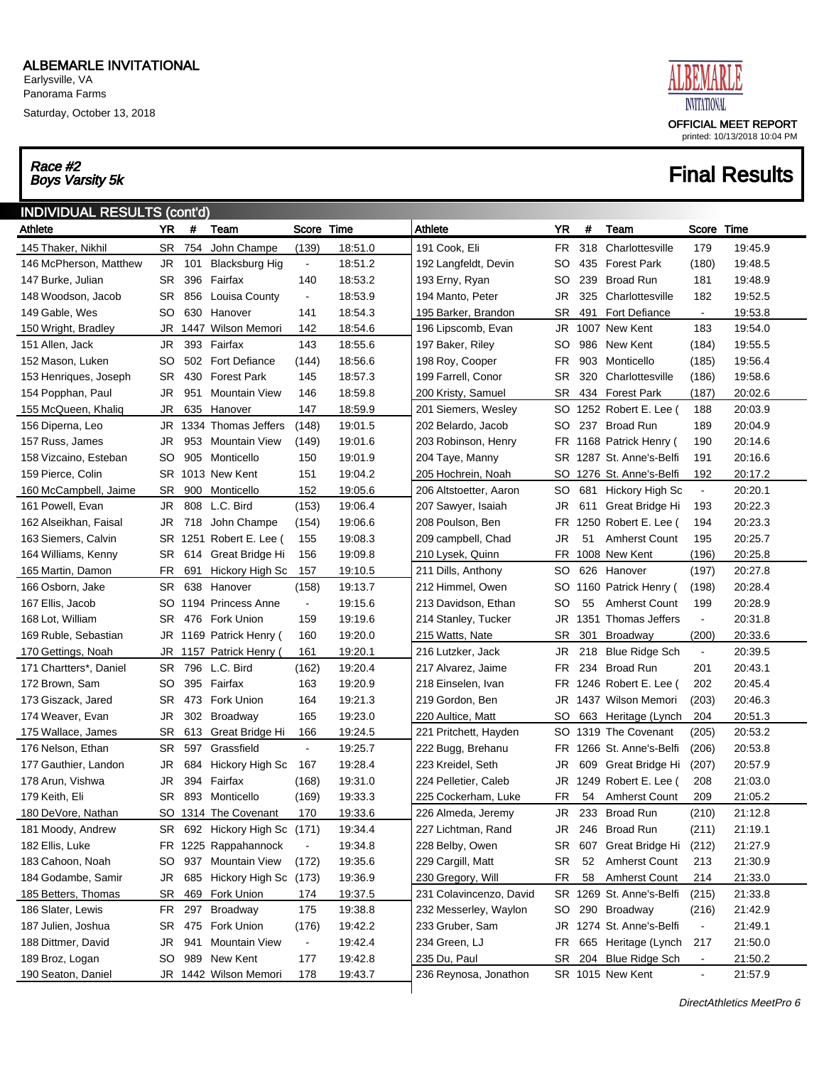Saturday, October 13, 2018

# Race #2<br>Boys Varsity 5k



| <b>INDIVIDUAL RESULTS (cont'd)</b> |           |     |                           |                              |         |                         |           |     |                       |                          |         |
|------------------------------------|-----------|-----|---------------------------|------------------------------|---------|-------------------------|-----------|-----|-----------------------|--------------------------|---------|
| Athlete                            | <b>YR</b> | #   | Team                      | Score Time                   |         | Athlete                 | YR        | #   | Team                  | Score Time               |         |
| 145 Thaker, Nikhil                 | SR        | 754 | John Champe               | (139)                        | 18:51.0 | 191 Cook, Eli           | FR        |     | 318 Charlottesville   | 179                      | 19:45.9 |
| 146 McPherson, Matthew             | JR        | 101 | <b>Blacksburg Hig</b>     | $\blacksquare$               | 18:51.2 | 192 Langfeldt, Devin    | SO        | 435 | <b>Forest Park</b>    | (180)                    | 19:48.5 |
| 147 Burke, Julian                  | SR        |     | 396 Fairfax               | 140                          | 18:53.2 | 193 Erny, Ryan          | SO        | 239 | <b>Broad Run</b>      | 181                      | 19:48.9 |
| 148 Woodson, Jacob                 | SR        |     | 856 Louisa County         | $\blacksquare$               | 18:53.9 | 194 Manto, Peter        | JR        | 325 | Charlottesville       | 182                      | 19:52.5 |
| 149 Gable, Wes                     | SO        |     | 630 Hanover               | 141                          | 18:54.3 | 195 Barker, Brandon     | SR        | 491 | <b>Fort Defiance</b>  | $\blacksquare$           | 19:53.8 |
| 150 Wright, Bradley                | JR        |     | 1447 Wilson Memori        | 142                          | 18:54.6 | 196 Lipscomb, Evan      | JR        |     | 1007 New Kent         | 183                      | 19:54.0 |
| 151 Allen, Jack                    | JR        |     | 393 Fairfax               | 143                          | 18:55.6 | 197 Baker, Riley        | SO        |     | 986 New Kent          | (184)                    | 19:55.5 |
| 152 Mason, Luken                   | SO        |     | 502 Fort Defiance         | (144)                        | 18:56.6 | 198 Roy, Cooper         | FR        | 903 | Monticello            | (185)                    | 19:56.4 |
| 153 Henriques, Joseph              | SR        |     | 430 Forest Park           | 145                          | 18:57.3 | 199 Farrell, Conor      | SR        |     | 320 Charlottesville   | (186)                    | 19:58.6 |
| 154 Popphan, Paul                  | JR        | 951 | <b>Mountain View</b>      | 146                          | 18:59.8 | 200 Kristy, Samuel      | SR        |     | 434 Forest Park       | (187)                    | 20:02.6 |
| 155 McQueen, Khaliq                | JR        |     | 635 Hanover               | 147                          | 18:59.9 | 201 Siemers, Wesley     | SO        |     | 1252 Robert E. Lee (  | 188                      | 20:03.9 |
| 156 Diperna, Leo                   | JR        |     | 1334 Thomas Jeffers       | (148)                        | 19:01.5 | 202 Belardo, Jacob      | SO        |     | 237 Broad Run         | 189                      | 20:04.9 |
| 157 Russ, James                    | JR        |     | 953 Mountain View         | (149)                        | 19:01.6 | 203 Robinson, Henry     | FR        |     | 1168 Patrick Henry (  | 190                      | 20:14.6 |
| 158 Vizcaino, Esteban              | SO        |     | 905 Monticello            | 150                          | 19:01.9 | 204 Taye, Manny         | SR        |     | 1287 St. Anne's-Belfi | 191                      | 20:16.6 |
| 159 Pierce, Colin                  |           |     | SR 1013 New Kent          | 151                          | 19:04.2 | 205 Hochrein, Noah      | SO        |     | 1276 St. Anne's-Belfi | 192                      | 20:17.2 |
| 160 McCampbell, Jaime              | SR        | 900 | Monticello                | 152                          | 19:05.6 | 206 Altstoetter, Aaron  | SO        |     | 681 Hickory High Sc   | $\blacksquare$           | 20:20.1 |
| 161 Powell, Evan                   | JR        |     | 808 L.C. Bird             | (153)                        | 19:06.4 | 207 Sawyer, Isaiah      | JR        |     | 611 Great Bridge Hi   | 193                      | 20:22.3 |
| 162 Alseikhan, Faisal              | JR        |     | 718 John Champe           | (154)                        | 19:06.6 | 208 Poulson, Ben        | FR        |     | 1250 Robert E. Lee (  | 194                      | 20:23.3 |
| 163 Siemers, Calvin                |           |     | SR 1251 Robert E. Lee (   | 155                          | 19:08.3 | 209 campbell, Chad      | JR        | 51  | <b>Amherst Count</b>  | 195                      | 20:25.7 |
| 164 Williams, Kenny                | SR        |     | 614 Great Bridge Hi       | 156                          | 19:09.8 | 210 Lysek, Quinn        | FR        |     | 1008 New Kent         | (196)                    | 20:25.8 |
| 165 Martin, Damon                  | FR        | 691 | Hickory High Sc           | 157                          | 19:10.5 | 211 Dills, Anthony      | SO        |     | 626 Hanover           | (197)                    | 20:27.8 |
| 166 Osborn, Jake                   | SR        |     | 638 Hanover               | (158)                        | 19:13.7 | 212 Himmel, Owen        | SO        |     | 1160 Patrick Henry (  | (198)                    | 20:28.4 |
| 167 Ellis, Jacob                   | SO.       |     | 1194 Princess Anne        | $\blacksquare$               | 19:15.6 | 213 Davidson, Ethan     | SO        | 55  | <b>Amherst Count</b>  | 199                      | 20:28.9 |
| 168 Lot, William                   | SR        |     | 476 Fork Union            | 159                          | 19:19.6 | 214 Stanley, Tucker     | JR        |     | 1351 Thomas Jeffers   | $\blacksquare$           | 20:31.8 |
| 169 Ruble, Sebastian               |           |     | JR 1169 Patrick Henry (   | 160                          | 19:20.0 | 215 Watts, Nate         | SR        | 301 | Broadway              | (200)                    | 20:33.6 |
| 170 Gettings, Noah                 | JR        |     | 1157 Patrick Henry (      | 161                          | 19:20.1 | 216 Lutzker, Jack       | JR        | 218 | <b>Blue Ridge Sch</b> | $\blacksquare$           | 20:39.5 |
| 171 Chartters*, Daniel             | SR        |     | 796 L.C. Bird             | (162)                        | 19:20.4 | 217 Alvarez, Jaime      | FR        | 234 | <b>Broad Run</b>      | 201                      | 20:43.1 |
| 172 Brown, Sam                     | SO        |     | 395 Fairfax               | 163                          | 19:20.9 | 218 Einselen, Ivan      | FR        |     | 1246 Robert E. Lee (  | 202                      | 20:45.4 |
| 173 Giszack, Jared                 | SR        |     | 473 Fork Union            | 164                          | 19:21.3 | 219 Gordon, Ben         | JR        |     | 1437 Wilson Memori    | (203)                    | 20:46.3 |
| 174 Weaver, Evan                   | JR        |     | 302 Broadway              | 165                          | 19:23.0 | 220 Aultice, Matt       | SO        |     | 663 Heritage (Lynch   | 204                      | 20:51.3 |
| 175 Wallace, James                 | SR        |     | 613 Great Bridge Hi       | 166                          | 19:24.5 | 221 Pritchett, Hayden   | SO        |     | 1319 The Covenant     | (205)                    | 20:53.2 |
| 176 Nelson, Ethan                  | SR        |     | 597 Grassfield            | $\blacksquare$               | 19:25.7 | 222 Bugg, Brehanu       | FR        |     | 1266 St. Anne's-Belfi | (206)                    | 20:53.8 |
| 177 Gauthier, Landon               | JR        | 684 | Hickory High Sc           | 167                          | 19:28.4 | 223 Kreidel, Seth       | JR        |     | 609 Great Bridge Hi   | (207)                    | 20:57.9 |
| 178 Arun, Vishwa                   | JR        | 394 | Fairfax                   | (168)                        | 19:31.0 | 224 Pelletier, Caleb    | JR        |     | 1249 Robert E. Lee (  | 208                      | 21:03.0 |
| 179 Keith, Eli                     | SR        |     | 893 Monticello            | (169)                        | 19:33.3 | 225 Cockerham, Luke     | FR        | 54  | <b>Amherst Count</b>  | 209                      | 21:05.2 |
| 180 DeVore, Nathan                 |           |     | SO 1314 The Covenant      | 170                          | 19:33.6 | 226 Almeda, Jeremy      | JR        |     | 233 Broad Run         | (210)                    | 21:12.8 |
| 181 Moody, Andrew                  | SR        |     | 692 Hickory High Sc (171) |                              | 19:34.4 | 227 Lichtman, Rand      | JR        |     | 246 Broad Run         | (211)                    | 21:19.1 |
| 182 Ellis, Luke                    |           |     | FR 1225 Rappahannock      | $\qquad \qquad \blacksquare$ | 19:34.8 | 228 Belby, Owen         | SR        |     | 607 Great Bridge Hi   | (212)                    | 21:27.9 |
| 183 Cahoon, Noah                   | SO        |     | 937 Mountain View         | (172)                        | 19:35.6 | 229 Cargill, Matt       | <b>SR</b> | 52  | <b>Amherst Count</b>  | 213                      | 21:30.9 |
| 184 Godambe, Samir                 | JR        |     | 685 Hickory High Sc (173) |                              | 19:36.9 | 230 Gregory, Will       | FR        | 58  | <b>Amherst Count</b>  | 214                      | 21:33.0 |
| 185 Betters, Thomas                | SR        |     | 469 Fork Union            | 174                          | 19:37.5 | 231 Colavincenzo, David | SR        |     | 1269 St. Anne's-Belfi | (215)                    | 21:33.8 |
| 186 Slater, Lewis                  | FR        |     | 297 Broadway              | 175                          | 19:38.8 | 232 Messerley, Waylon   | SO        |     | 290 Broadway          | (216)                    | 21:42.9 |
| 187 Julien, Joshua                 | SR        |     | 475 Fork Union            | (176)                        | 19:42.2 | 233 Gruber, Sam         | JR        |     | 1274 St. Anne's-Belfi | $\overline{\phantom{0}}$ | 21:49.1 |
| 188 Dittmer, David                 | JR        |     | 941 Mountain View         | $\frac{1}{2}$                | 19:42.4 | 234 Green, LJ           | FR        |     | 665 Heritage (Lynch   | 217                      | 21:50.0 |
| 189 Broz, Logan                    | SO        |     | 989 New Kent              | 177                          | 19:42.8 | 235 Du, Paul            | SR        |     | 204 Blue Ridge Sch    | $\blacksquare$           | 21:50.2 |
| 190 Seaton, Daniel                 | JR        |     | 1442 Wilson Memori        | 178                          | 19:43.7 | 236 Reynosa, Jonathon   |           |     | SR 1015 New Kent      | $\overline{\phantom{0}}$ | 21:57.9 |
|                                    |           |     |                           |                              |         |                         |           |     |                       |                          |         |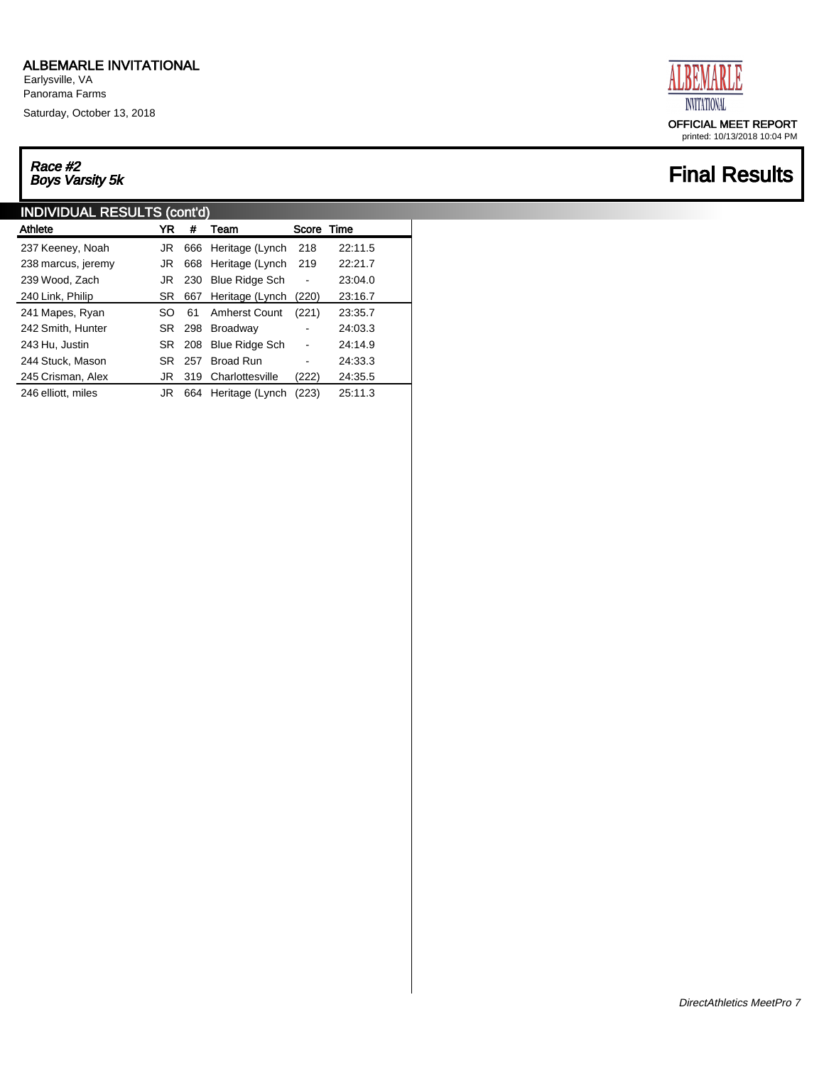Earlysville, VA Panorama Farms

Saturday, October 13, 2018

# Race #2<br>Boys Varsity 5k

#### INDIVIDUAL RESULTS (cont'd)

| Athlete            | YR  | #      | Team                 | Score                        | Time    |
|--------------------|-----|--------|----------------------|------------------------------|---------|
| 237 Keeney, Noah   | JR  |        | 666 Heritage (Lynch  | 218                          | 22:11.5 |
| 238 marcus, jeremy | JR  | 668    | Heritage (Lynch      | 219                          | 22:21.7 |
| 239 Wood, Zach     | JR  | 230    | Blue Ridge Sch       | $\qquad \qquad \blacksquare$ | 23:04.0 |
| 240 Link, Philip   | SR. | 667    | Heritage (Lynch      | (220)                        | 23:16.7 |
| 241 Mapes, Ryan    | SO  | 61     | <b>Amherst Count</b> | (221)                        | 23:35.7 |
| 242 Smith, Hunter  | SR. | 298    | Broadway             |                              | 24:03.3 |
| 243 Hu, Justin     |     | SR 208 | Blue Ridge Sch       |                              | 24:14.9 |
| 244 Stuck, Mason   | SR. | 257    | <b>Broad Run</b>     |                              | 24:33.3 |
| 245 Crisman, Alex  | JR  | 319    | Charlottesville      | (222)                        | 24:35.5 |
| 246 elliott, miles | JR  | 664    | Heritage (Lynch      | (223)                        | 25:11.3 |



printed: 10/13/2018 10:04 PM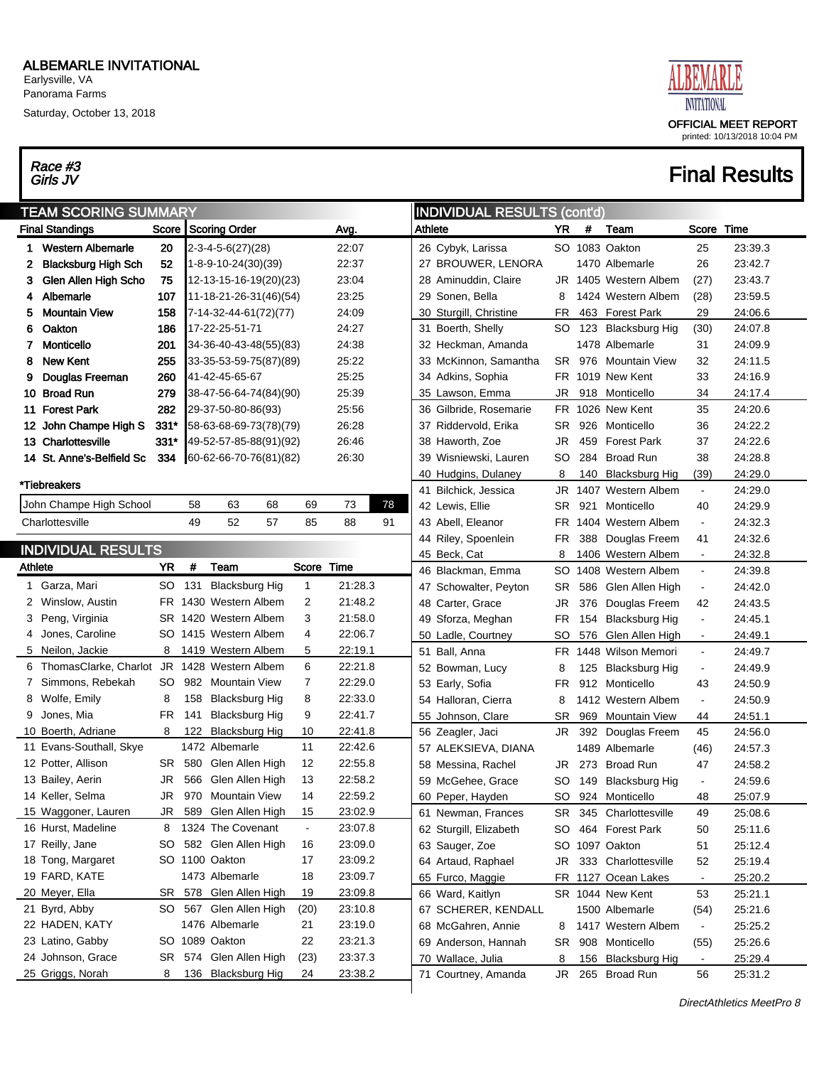Earlysville, VA Panorama Farms

Saturday, October 13, 2018

# Race #3<br>Girls JV



| <b>INDIVIDUAL RESULTS (cont'd)</b><br><b>TEAM SCORING SUMMARY</b>                                         |           |                       |                |         |  |  |  |  |  |  |  |
|-----------------------------------------------------------------------------------------------------------|-----------|-----------------------|----------------|---------|--|--|--|--|--|--|--|
| Score   Scoring Order<br>YR<br><b>Final Standings</b><br>Avg.<br>Athlete                                  | #         | Team                  | Score Time     |         |  |  |  |  |  |  |  |
| 20<br>Western Albemarle<br>$2-3-4-5-6(27)(28)$<br>22:07<br>26 Cybyk, Larissa<br>1.                        |           | SO 1083 Oakton        | 25             | 23:39.3 |  |  |  |  |  |  |  |
| <b>Blacksburg High Sch</b><br>52<br>22:37<br>27 BROUWER, LENORA<br>1-8-9-10-24(30)(39)<br>2               |           | 1470 Albemarle        | 26             | 23:42.7 |  |  |  |  |  |  |  |
| 75<br>Glen Allen High Scho<br>23:04<br>12-13-15-16-19(20)(23)<br>28 Aminuddin, Claire<br>3                |           | JR 1405 Western Albem | (27)           | 23:43.7 |  |  |  |  |  |  |  |
| Albemarle<br>107<br>23:25<br>29 Sonen, Bella<br>11-18-21-26-31(46)(54)<br>8<br>4                          |           | 1424 Western Albem    | (28)           | 23:59.5 |  |  |  |  |  |  |  |
| <b>Mountain View</b><br>158<br>24:09<br>30 Sturgill, Christine<br>7-14-32-44-61(72)(77)<br>FR<br>5        |           | 463 Forest Park       | 29             | 24:06.6 |  |  |  |  |  |  |  |
| Oakton<br>186<br>17-22-25-51-71<br>24:27<br>31 Boerth, Shelly<br>6<br>SO                                  |           | 123 Blacksburg Hig    | (30)           | 24:07.8 |  |  |  |  |  |  |  |
| <b>Monticello</b><br>201<br>34-36-40-43-48(55)(83)<br>24:38<br>7<br>32 Heckman, Amanda                    |           | 1478 Albemarle        | 31             | 24:09.9 |  |  |  |  |  |  |  |
| <b>New Kent</b><br>255<br>25:22<br>33 McKinnon, Samantha<br>8<br>33-35-53-59-75(87)(89)                   | SR.       | 976 Mountain View     | 32             | 24:11.5 |  |  |  |  |  |  |  |
| Douglas Freeman<br>260<br>41-42-45-65-67<br>25:25<br>34 Adkins, Sophia                                    | FR.       | 1019 New Kent         | 33             | 24:16.9 |  |  |  |  |  |  |  |
| 25:39<br>10 Broad Run<br>279<br>38-47-56-64-74(84)(90)<br>35 Lawson, Emma<br>JR                           |           | 918 Monticello        | 34             | 24:17.4 |  |  |  |  |  |  |  |
| 11 Forest Park<br>282<br>29-37-50-80-86(93)<br>25:56<br>36 Gilbride, Rosemarie<br>FR.                     |           | 1026 New Kent         | 35             | 24:20.6 |  |  |  |  |  |  |  |
| $331*$<br>12 John Champe High S<br>26:28<br>58-63-68-69-73(78)(79)<br>37 Riddervold, Erika<br>SR          | 926       | Monticello            | 36             | 24:22.2 |  |  |  |  |  |  |  |
| 13 Charlottesville<br>331*<br>26:46<br>38 Haworth, Zoe<br>49-52-57-85-88(91)(92)<br>JR                    | 459       | <b>Forest Park</b>    | 37             | 24:22.6 |  |  |  |  |  |  |  |
| 14 St. Anne's-Belfield Sc<br>334<br>26:30<br>$[60-62-66-70-76(81)(82)]$<br>39 Wisniewski, Lauren<br>SO    | 284       | <b>Broad Run</b>      | 38             | 24:28.8 |  |  |  |  |  |  |  |
| 40 Hudgins, Dulaney<br>8                                                                                  | 140       | <b>Blacksburg Hig</b> | (39)           | 24:29.0 |  |  |  |  |  |  |  |
| *Tiebreakers<br>41 Bilchick, Jessica                                                                      | JR        | 1407 Western Albem    | $\blacksquare$ | 24:29.0 |  |  |  |  |  |  |  |
| 68<br>John Champe High School<br>58<br>63<br>69<br>73<br>78<br>42 Lewis, Ellie<br>SR.                     | 921       | Monticello            | 40             | 24:29.9 |  |  |  |  |  |  |  |
| 49<br>52<br>57<br>85<br>88<br>91<br>43 Abell, Eleanor<br>Charlottesville<br>FR.                           |           | 1404 Western Albem    | $\blacksquare$ | 24:32.3 |  |  |  |  |  |  |  |
| 44 Riley, Spoenlein<br>FR                                                                                 | 388       | Douglas Freem         | 41             | 24:32.6 |  |  |  |  |  |  |  |
| <b>INDIVIDUAL RESULTS</b><br>45 Beck, Cat<br>8                                                            |           | 1406 Western Albem    | $\blacksquare$ | 24:32.8 |  |  |  |  |  |  |  |
| YR.<br>#<br>Team<br>Score Time<br>Athlete<br>46 Blackman, Emma<br><b>SO</b>                               |           | 1408 Western Albem    | $\blacksquare$ | 24:39.8 |  |  |  |  |  |  |  |
| 21:28.3<br>1 Garza, Mari<br>SO<br>131<br><b>Blacksburg Hig</b><br>1<br>47 Schowalter, Peyton<br>SR        |           | 586 Glen Allen High   | $\blacksquare$ | 24:42.0 |  |  |  |  |  |  |  |
| FR 1430 Western Albem<br>2<br>21:48.2<br>Winslow, Austin<br>2<br>48 Carter, Grace<br>JR                   | 376       | Douglas Freem         | 42             | 24:43.5 |  |  |  |  |  |  |  |
| SR 1420 Western Albem<br>3<br>21:58.0<br>Peng, Virginia<br>3<br>49 Sforza, Meghan<br>FR                   | 154       | <b>Blacksburg Hig</b> | $\blacksquare$ | 24:45.1 |  |  |  |  |  |  |  |
| Jones, Caroline<br>SO 1415 Western Albem<br>4<br>22:06.7<br>50 Ladle, Courtney<br>SO                      | 576       | Glen Allen High       | $\blacksquare$ | 24:49.1 |  |  |  |  |  |  |  |
| 22:19.1<br>5 Neilon, Jackie<br>8<br>1419 Western Albem<br>5<br>51 Ball, Anna<br>FR.                       |           | 1448 Wilson Memori    | $\blacksquare$ | 24:49.7 |  |  |  |  |  |  |  |
| 6<br>ThomasClarke, Charlot JR 1428 Western Albem<br>22:21.8<br>6<br>52 Bowman, Lucy<br>8                  |           | 125 Blacksburg Hig    | $\blacksquare$ | 24:49.9 |  |  |  |  |  |  |  |
| 7 Simmons, Rebekah<br>SO.<br>982 Mountain View<br>7<br>22:29.0<br>53 Early, Sofia<br>FR.                  |           | 912 Monticello        | 43             | 24:50.9 |  |  |  |  |  |  |  |
| 22:33.0<br>8 Wolfe, Emily<br>8<br>158<br><b>Blacksburg Hig</b><br>8<br>54 Halloran, Cierra<br>8           |           | 1412 Western Albem    | $\blacksquare$ | 24:50.9 |  |  |  |  |  |  |  |
| FR.<br>9<br>22:41.7<br>9 Jones, Mia<br>141<br><b>Blacksburg Hig</b><br>55 Johnson, Clare<br><b>SR</b>     | 969       | <b>Mountain View</b>  | 44             | 24:51.1 |  |  |  |  |  |  |  |
| 8<br>22:41.8<br>10 Boerth, Adriane<br>122<br><b>Blacksburg Hig</b><br>10<br>56 Zeagler, Jaci<br>JR        |           | 392 Douglas Freem     | 45             | 24:56.0 |  |  |  |  |  |  |  |
| 11 Evans-Southall, Skye<br>1472 Albemarle<br>11<br>22:42.6<br>57 ALEKSIEVA, DIANA                         |           | 1489 Albemarle        | (46)           | 24:57.3 |  |  |  |  |  |  |  |
| 12 Potter, Allison<br>12<br>22:55.8<br>SR.<br>580<br>Glen Allen High<br>58 Messina, Rachel                | JR<br>273 | <b>Broad Run</b>      | 47             | 24:58.2 |  |  |  |  |  |  |  |
| 13 Bailey, Aerin<br>Glen Allen High<br>13<br>22:58.2<br>JR<br>566<br>59 McGehee, Grace<br>SO              | 149       | <b>Blacksburg Hig</b> | $\blacksquare$ | 24:59.6 |  |  |  |  |  |  |  |
| JR<br>970<br>14<br>22:59.2<br>14 Keller, Selma<br>Mountain View<br><u>so</u><br>60 Peper, Hayden          |           | 924 Monticello        | 48             | 25:07.9 |  |  |  |  |  |  |  |
| 23:02.9<br>589 Glen Allen High<br>15<br>15 Waggoner, Lauren<br>JR<br>61 Newman, Frances                   | SR        | 345 Charlottesville   | 49             | 25:08.6 |  |  |  |  |  |  |  |
| 1324 The Covenant<br>23:07.8<br>16 Hurst, Madeline<br>8<br>$\blacksquare$<br>62 Sturgill, Elizabeth<br>SO |           | 464 Forest Park       | 50             | 25:11.6 |  |  |  |  |  |  |  |
| SO 582 Glen Allen High<br>23:09.0<br>17 Reilly, Jane<br>16<br>63 Sauger, Zoe                              | SO.       | 1097 Oakton           | 51             | 25:12.4 |  |  |  |  |  |  |  |
| SO 1100 Oakton<br>23:09.2<br>18 Tong, Margaret<br>17<br>64 Artaud, Raphael<br>JR                          |           | 333 Charlottesville   | 52             | 25:19.4 |  |  |  |  |  |  |  |
| 19 FARD, KATE<br>1473 Albemarle<br>23:09.7<br>18<br>65 Furco, Maggie                                      | FR        | 1127 Ocean Lakes      | $\blacksquare$ | 25:20.2 |  |  |  |  |  |  |  |
| 578 Glen Allen High<br>23:09.8<br>20 Meyer, Ella<br>SR<br>19<br>66 Ward, Kaitlyn                          |           | SR 1044 New Kent      | 53             | 25:21.1 |  |  |  |  |  |  |  |
| 21 Byrd, Abby<br>SO 567 Glen Allen High<br>(20)<br>23:10.8<br>67 SCHERER, KENDALL                         |           | 1500 Albemarle        | (54)           | 25:21.6 |  |  |  |  |  |  |  |
| 23:19.0<br>22 HADEN, KATY<br>1476 Albemarle<br>21<br>68 McGahren, Annie<br>8                              |           | 1417 Western Albem    | $\blacksquare$ | 25:25.2 |  |  |  |  |  |  |  |
| SO 1089 Oakton<br>23:21.3<br>23 Latino, Gabby<br>22<br>69 Anderson, Hannah<br><b>SR</b>                   |           | 908 Monticello        | (55)           | 25:26.6 |  |  |  |  |  |  |  |
| 24 Johnson, Grace<br>574 Glen Allen High<br>23:37.3<br>(23)<br>SR<br>70 Wallace, Julia<br>8               |           | 156 Blacksburg Hig    | $\blacksquare$ | 25:29.4 |  |  |  |  |  |  |  |
| 23:38.2<br>25 Griggs, Norah<br>136 Blacksburg Hig<br>8<br>24<br>71 Courtney, Amanda                       | JR        | 265 Broad Run         | 56             | 25:31.2 |  |  |  |  |  |  |  |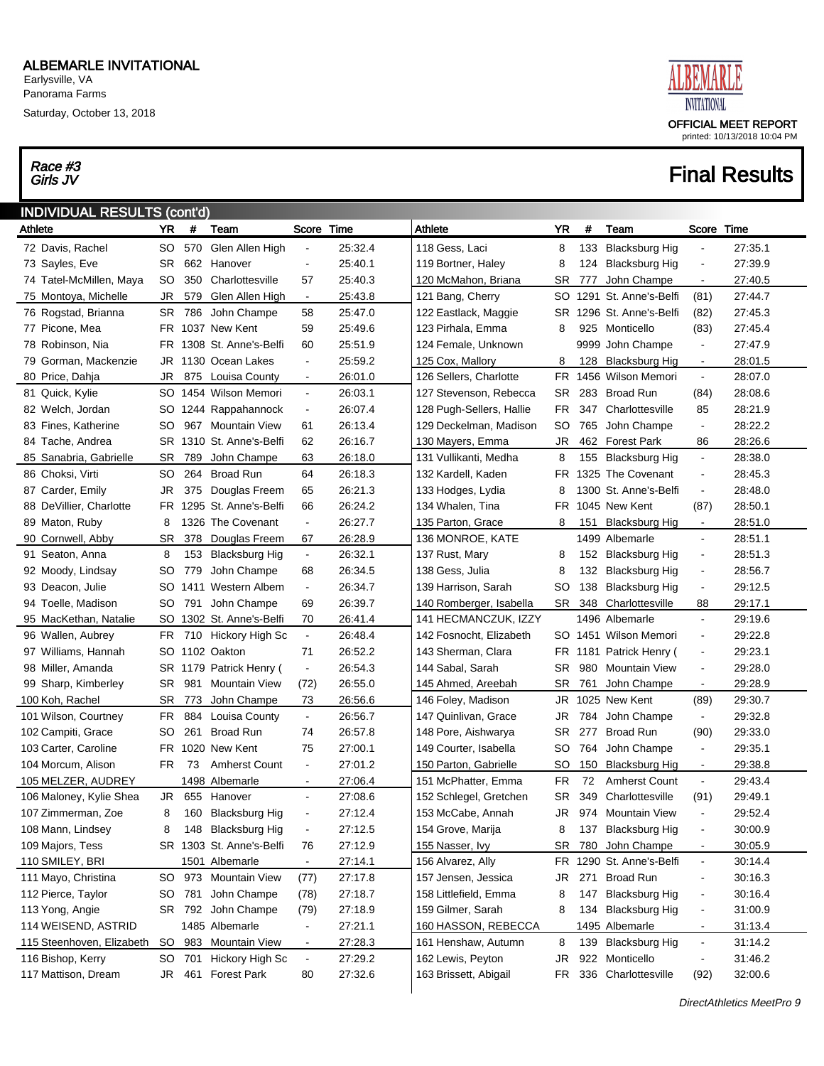Saturday, October 13, 2018

## Race #3<br>Girls JV



| <b>INDIVIDUAL RESULTS (cont'd)</b> |           |         |                          |                |         |                          |           |     |                       |                          |         |
|------------------------------------|-----------|---------|--------------------------|----------------|---------|--------------------------|-----------|-----|-----------------------|--------------------------|---------|
| Athlete                            | YR        | #       | Team                     | Score          | Time    | Athlete                  | YR        | #   | Team                  | Score                    | Time    |
| 72 Davis, Rachel                   | SO        | 570     | Glen Allen High          | $\blacksquare$ | 25:32.4 | 118 Gess, Laci           | 8         | 133 | <b>Blacksburg Hig</b> | $\blacksquare$           | 27:35.1 |
| 73 Sayles, Eve                     | <b>SR</b> | 662     | Hanover                  | $\blacksquare$ | 25:40.1 | 119 Bortner, Haley       | 8         | 124 | <b>Blacksburg Hig</b> | $\blacksquare$           | 27:39.9 |
| 74 Tatel-McMillen, Maya            | SO.       | 350     | Charlottesville          | 57             | 25:40.3 | 120 McMahon, Briana      | SR        | 777 | John Champe           | $\blacksquare$           | 27:40.5 |
| 75 Montoya, Michelle               | JR        | 579     | Glen Allen High          | $\blacksquare$ | 25:43.8 | 121 Bang, Cherry         | SO        |     | 1291 St. Anne's-Belfi | (81)                     | 27:44.7 |
| 76 Rogstad, Brianna                | <b>SR</b> | 786     | John Champe              | 58             | 25:47.0 | 122 Eastlack, Maggie     | SR.       |     | 1296 St. Anne's-Belfi | (82)                     | 27:45.3 |
| 77 Picone, Mea                     |           |         | FR 1037 New Kent         | 59             | 25:49.6 | 123 Pirhala, Emma        | 8         | 925 | Monticello            | (83)                     | 27:45.4 |
| 78 Robinson, Nia                   |           |         | FR 1308 St. Anne's-Belfi | 60             | 25:51.9 | 124 Female, Unknown      |           |     | 9999 John Champe      | $\blacksquare$           | 27:47.9 |
| 79 Gorman, Mackenzie               |           |         | JR 1130 Ocean Lakes      | $\blacksquare$ | 25:59.2 | 125 Cox, Mallory         | 8         | 128 | <b>Blacksburg Hig</b> | $\blacksquare$           | 28:01.5 |
| 80 Price, Dahja                    | JR        | 875     | Louisa County            | $\blacksquare$ | 26:01.0 | 126 Sellers, Charlotte   | FR        |     | 1456 Wilson Memori    | $\blacksquare$           | 28:07.0 |
| 81 Quick, Kylie                    |           |         | SO 1454 Wilson Memori    | $\blacksquare$ | 26:03.1 | 127 Stevenson, Rebecca   | SR.       | 283 | <b>Broad Run</b>      | (84)                     | 28:08.6 |
| 82 Welch, Jordan                   |           |         | SO 1244 Rappahannock     | $\blacksquare$ | 26:07.4 | 128 Pugh-Sellers, Hallie | FR.       | 347 | Charlottesville       | 85                       | 28:21.9 |
| 83 Fines, Katherine                | SO        | 967     | Mountain View            | 61             | 26:13.4 | 129 Deckelman, Madison   | SO        | 765 | John Champe           | $\blacksquare$           | 28:22.2 |
| 84 Tache, Andrea                   |           |         | SR 1310 St. Anne's-Belfi | 62             | 26:16.7 | 130 Mayers, Emma         | JR        | 462 | <b>Forest Park</b>    | 86                       | 28:26.6 |
| 85 Sanabria, Gabrielle             | <b>SR</b> | 789     | John Champe              | 63             | 26:18.0 | 131 Vullikanti, Medha    | 8         | 155 | <b>Blacksburg Hig</b> | $\blacksquare$           | 28:38.0 |
| 86 Choksi, Virti                   | SO        | 264     | <b>Broad Run</b>         | 64             | 26:18.3 | 132 Kardell, Kaden       | FR.       |     | 1325 The Covenant     | $\blacksquare$           | 28:45.3 |
| 87 Carder, Emily                   | JR        | 375     | Douglas Freem            | 65             | 26:21.3 | 133 Hodges, Lydia        | 8         |     | 1300 St. Anne's-Belfi | $\blacksquare$           | 28:48.0 |
| 88 DeVillier, Charlotte            |           |         | FR 1295 St. Anne's-Belfi | 66             | 26:24.2 | 134 Whalen, Tina         | FR.       |     | 1045 New Kent         | (87)                     | 28:50.1 |
| 89 Maton, Ruby                     | 8         |         | 1326 The Covenant        | $\blacksquare$ | 26:27.7 | 135 Parton, Grace        | 8         | 151 | <b>Blacksburg Hig</b> | $\blacksquare$           | 28:51.0 |
| 90 Cornwell, Abby                  | <b>SR</b> | 378     | Douglas Freem            | 67             | 26:28.9 | 136 MONROE, KATE         |           |     | 1499 Albemarle        | $\blacksquare$           | 28:51.1 |
| 91 Seaton, Anna                    | 8         | 153     | <b>Blacksburg Hig</b>    | $\blacksquare$ | 26:32.1 | 137 Rust, Mary           | 8         |     | 152 Blacksburg Hig    | $\blacksquare$           | 28.51.3 |
| 92 Moody, Lindsay                  | SO.       | 779     | John Champe              | 68             | 26:34.5 | 138 Gess, Julia          | 8         | 132 | Blacksburg Hig        | $\blacksquare$           | 28:56.7 |
| 93 Deacon, Julie                   |           | SO 1411 | <b>Western Albem</b>     | $\blacksquare$ | 26:34.7 | 139 Harrison, Sarah      | SO        | 138 | <b>Blacksburg Hig</b> | $\blacksquare$           | 29:12.5 |
| 94 Toelle, Madison                 | SO.       | 791     | John Champe              | 69             | 26:39.7 | 140 Romberger, Isabella  | SR        | 348 | Charlottesville       | 88                       | 29:17.1 |
| 95 MacKethan, Natalie              | SO.       |         | 1302 St. Anne's-Belfi    | 70             | 26:41.4 | 141 HECMANCZUK, IZZY     |           |     | 1496 Albemarle        | $\blacksquare$           | 29:19.6 |
| 96 Wallen, Aubrey                  | FR.       | 710     | Hickory High Sc          | $\blacksquare$ | 26:48.4 | 142 Fosnocht, Elizabeth  |           |     | SO 1451 Wilson Memori | $\blacksquare$           | 29:22.8 |
| 97 Williams, Hannah                |           |         | SO 1102 Oakton           | 71             | 26:52.2 | 143 Sherman, Clara       | FR        |     | 1181 Patrick Henry (  | $\blacksquare$           | 29:23.1 |
| 98 Miller, Amanda                  |           |         | SR 1179 Patrick Henry (  | $\blacksquare$ | 26:54.3 | 144 Sabal, Sarah         | <b>SR</b> | 980 | <b>Mountain View</b>  | $\blacksquare$           | 29:28.0 |
| 99 Sharp, Kimberley                | SR.       | 981     | <b>Mountain View</b>     | (72)           | 26:55.0 | 145 Ahmed, Areebah       | SR        | 761 | John Champe           | $\blacksquare$           | 29:28.9 |
| 100 Koh, Rachel                    | <b>SR</b> | 773     | John Champe              | 73             | 26.56.6 | 146 Foley, Madison       | JR        |     | 1025 New Kent         | (89)                     | 29:30.7 |
| 101 Wilson, Courtney               | FR.       | 884     | Louisa County            | $\blacksquare$ | 26:56.7 | 147 Quinlivan, Grace     | JR        | 784 | John Champe           | $\blacksquare$           | 29:32.8 |
| 102 Campiti, Grace                 | SO.       | 261     | <b>Broad Run</b>         | 74             | 26:57.8 | 148 Pore, Aishwarya      | SR        | 277 | <b>Broad Run</b>      | (90)                     | 29:33.0 |
| 103 Carter, Caroline               | FR        |         | 1020 New Kent            | 75             | 27:00.1 | 149 Courter, Isabella    | SO        | 764 | John Champe           | $\blacksquare$           | 29:35.1 |
| 104 Morcum, Alison                 | FR.       | 73      | <b>Amherst Count</b>     | $\blacksquare$ | 27:01.2 | 150 Parton, Gabrielle    | SO        | 150 | <b>Blacksburg Hig</b> | $\blacksquare$           | 29:38.8 |
| 105 MELZER, AUDREY                 |           |         | 1498 Albemarle           | $\blacksquare$ | 27:06.4 | 151 McPhatter, Emma      | FR        | 72  | <b>Amherst Count</b>  | $\blacksquare$           | 29:43.4 |
| 106 Maloney, Kylie Shea            | JR        |         | 655 Hanover              | $\blacksquare$ | 27:08.6 | 152 Schlegel, Gretchen   | SR        |     | 349 Charlottesville   | (91)                     | 29:49.1 |
| 107 Zimmerman, Zoe                 | 8         |         | 160 Blacksburg Hig       | $\overline{a}$ | 27:12.4 | 153 McCabe, Annah        | JR        |     | 974 Mountain View     | $\overline{\phantom{a}}$ | 29:52.4 |
| 108 Mann, Lindsey                  | 8         |         | 148 Blacksburg Hig       | $\blacksquare$ | 27:12.5 | 154 Grove, Marija        | 8         | 137 | <b>Blacksburg Hig</b> |                          | 30:00.9 |
| 109 Majors, Tess                   |           |         | SR 1303 St. Anne's-Belfi | 76             | 27:12.9 | 155 Nasser, Ivy          | <b>SR</b> | 780 | John Champe           | $\blacksquare$           | 30:05.9 |
| 110 SMILEY, BRI                    |           |         | 1501 Albemarle           | $\blacksquare$ | 27:14.1 | 156 Alvarez, Ally        | FR        |     | 1290 St. Anne's-Belfi | $\blacksquare$           | 30.14.4 |
| 111 Mayo, Christina                | SO.       |         | 973 Mountain View        | (77)           | 27:17.8 | 157 Jensen, Jessica      | JR        |     | 271 Broad Run         | $\blacksquare$           | 30:16.3 |
| 112 Pierce, Taylor                 | SO        | 781     | John Champe              | (78)           | 27:18.7 | 158 Littlefield, Emma    | 8         | 147 | <b>Blacksburg Hig</b> | $\overline{\phantom{a}}$ | 30:16.4 |
| 113 Yong, Angie                    |           |         | SR 792 John Champe       | (79)           | 27:18.9 | 159 Gilmer, Sarah        | 8         |     | 134 Blacksburg Hig    | $\overline{\phantom{a}}$ | 31:00.9 |
| 114 WEISEND, ASTRID                |           |         | 1485 Albemarle           | $\blacksquare$ | 27:21.1 | 160 HASSON, REBECCA      |           |     | 1495 Albemarle        | $\blacksquare$           | 31:13.4 |
| 115 Steenhoven, Elizabeth          | SO        |         | 983 Mountain View        | $\blacksquare$ | 27:28.3 | 161 Henshaw, Autumn      | 8         | 139 | <b>Blacksburg Hig</b> | $\blacksquare$           | 31:14.2 |
| 116 Bishop, Kerry                  | SO        | 701     | Hickory High Sc          | $\blacksquare$ | 27:29.2 | 162 Lewis, Peyton        | JR        |     | 922 Monticello        | $\overline{\phantom{0}}$ | 31:46.2 |
| 117 Mattison, Dream                | JR        | 461     | <b>Forest Park</b>       | 80             | 27:32.6 | 163 Brissett, Abigail    | FR        |     | 336 Charlottesville   | (92)                     | 32:00.6 |
|                                    |           |         |                          |                |         |                          |           |     |                       |                          |         |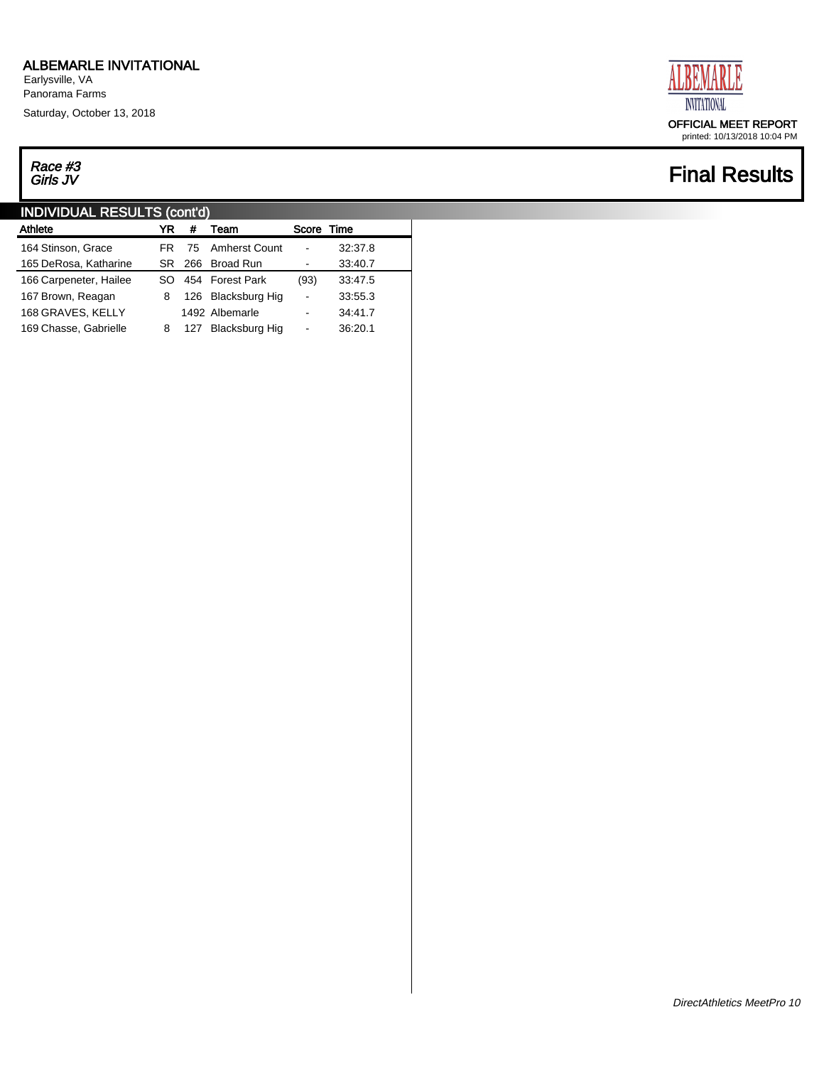Earlysville, VA Panorama Farms

Saturday, October 13, 2018

## Race #3<br>Girls JV

#### INDIVIDUAL RESULTS (cont'd)

| Athlete                | YR  | #   | Team               | Score Time               |         |
|------------------------|-----|-----|--------------------|--------------------------|---------|
| 164 Stinson, Grace     | FR  |     | 75 Amherst Count   |                          | 32:37.8 |
| 165 DeRosa, Katharine  | SR. | 266 | Broad Run          |                          | 33:40.7 |
| 166 Carpeneter, Hailee | ടറ  |     | 454 Forest Park    | (93)                     | 33:47.5 |
| 167 Brown, Reagan      | 8   |     | 126 Blacksburg Hig | $\overline{a}$           | 33:55.3 |
| 168 GRAVES, KELLY      |     |     | 1492 Albemarle     |                          | 34:41.7 |
| 169 Chasse, Gabrielle  | 8   | 127 | Blacksburg Hig     | $\overline{\phantom{0}}$ | 36:20.1 |
|                        |     |     |                    |                          |         |



printed: 10/13/2018 10:04 PM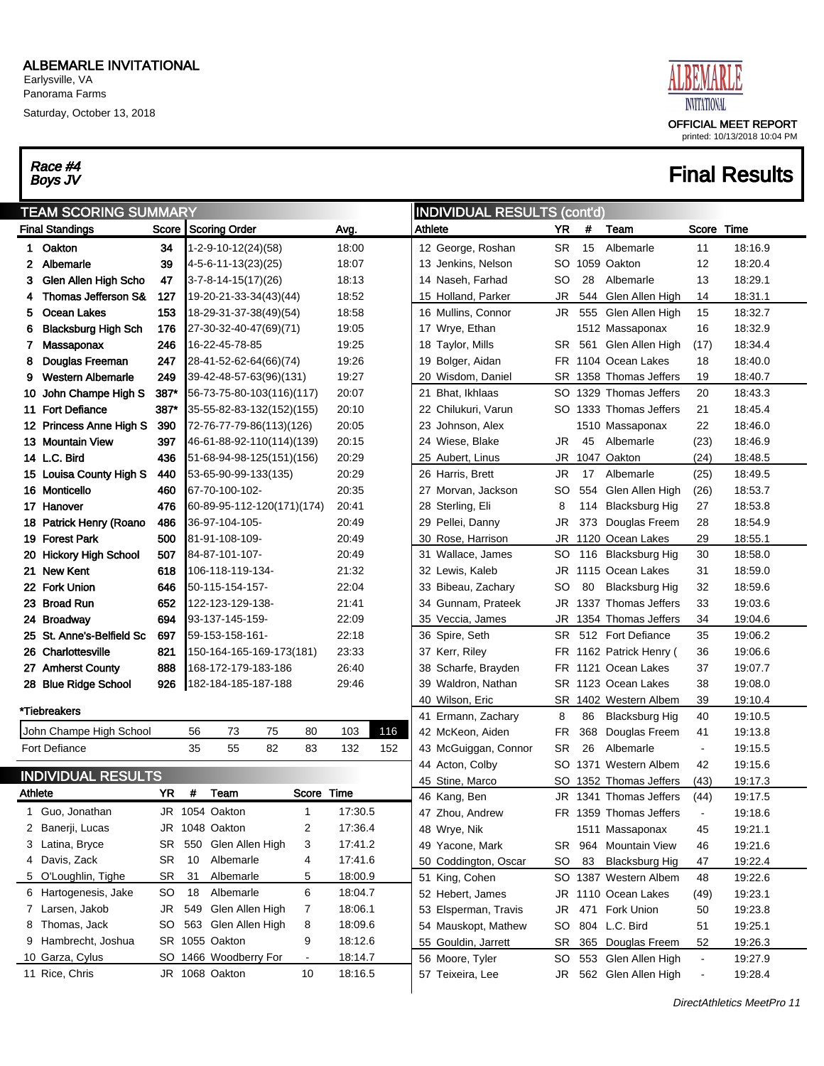Earlysville, VA Panorama Farms

Saturday, October 13, 2018

# Race #4<br>Boys JV



| <b>INDIVIDUAL RESULTS (cont'd)</b><br><b>TEAM SCORING SUMMARY</b> |                            |       |    |                            |    |                |         |     |         |                                 |           |      |                                                  |                          |                    |
|-------------------------------------------------------------------|----------------------------|-------|----|----------------------------|----|----------------|---------|-----|---------|---------------------------------|-----------|------|--------------------------------------------------|--------------------------|--------------------|
|                                                                   | <b>Final Standings</b>     | Score |    | <b>Scoring Order</b>       |    |                | Avg.    |     | Athlete |                                 | YR        | #    | Team                                             | Score                    | Time               |
| 1.                                                                | Oakton                     | 34    |    | 1-2-9-10-12(24)(58)        |    |                | 18:00   |     |         | 12 George, Roshan               | <b>SR</b> | 15   | Albemarle                                        | 11                       | 18:16.9            |
| 2                                                                 | Albemarle                  | 39    |    | 4-5-6-11-13(23)(25)        |    |                | 18:07   |     |         | 13 Jenkins, Nelson              | SO        | 1059 | Oakton                                           | 12                       | 18:20.4            |
| 3                                                                 | Glen Allen High Scho       | 47    |    | $3-7-8-14-15(17)(26)$      |    |                | 18:13   |     |         | 14 Naseh, Farhad                | <b>SO</b> | 28   | Albemarle                                        | 13                       | 18:29.1            |
| 4                                                                 | Thomas Jefferson S&        | 127   |    | 19-20-21-33-34(43)(44)     |    |                | 18:52   |     |         | 15 Holland, Parker              | <b>JR</b> | 544  | Glen Allen High                                  | 14                       | 18:31.1            |
| 5                                                                 | <b>Ocean Lakes</b>         | 153   |    | 18-29-31-37-38(49)(54)     |    |                | 18:58   |     |         | 16 Mullins, Connor              | JR        | 555  | Glen Allen High                                  | 15                       | 18:32.7            |
| 6                                                                 | <b>Blacksburg High Sch</b> | 176   |    | 27-30-32-40-47(69)(71)     |    |                | 19:05   |     |         | 17 Wrye, Ethan                  |           |      | 1512 Massaponax                                  | 16                       | 18:32.9            |
| 7                                                                 | Massaponax                 | 246   |    | 16-22-45-78-85             |    |                | 19:25   |     |         | 18 Taylor, Mills                | SR        | 561  | Glen Allen High                                  | (17)                     | 18:34.4            |
| 8                                                                 | Douglas Freeman            | 247   |    | 28-41-52-62-64(66)(74)     |    |                | 19:26   |     |         | 19 Bolger, Aidan                | FR        |      | 1104 Ocean Lakes                                 | 18                       | 18:40.0            |
| 9                                                                 | <b>Western Albemarle</b>   | 249   |    | 39-42-48-57-63(96)(131)    |    |                | 19:27   |     |         | 20 Wisdom, Daniel               | SR        |      | 1358 Thomas Jeffers                              | 19                       | 18:40.7            |
| 10                                                                | John Champe High S         | 387*  |    | 56-73-75-80-103(116)(117)  |    |                | 20:07   |     |         | 21 Bhat, Ikhlaas                | SO.       |      | 1329 Thomas Jeffers                              | 20                       | 18:43.3            |
| 11.                                                               | <b>Fort Defiance</b>       | 387*  |    | 35-55-82-83-132(152)(155)  |    |                | 20:10   |     |         | 22 Chilukuri, Varun             |           |      | SO 1333 Thomas Jeffers                           | 21                       | 18:45.4            |
|                                                                   | 12 Princess Anne High S    | 390   |    | 72-76-77-79-86(113)(126)   |    |                | 20:05   |     |         | 23 Johnson, Alex                |           |      | 1510 Massaponax                                  | 22                       | 18:46.0            |
|                                                                   | 13 Mountain View           | 397   |    | 46-61-88-92-110(114)(139)  |    |                | 20:15   |     |         | 24 Wiese, Blake                 | <b>JR</b> | 45   | Albemarle                                        | (23)                     | 18:46.9            |
|                                                                   | 14 L.C. Bird               | 436   |    | 51-68-94-98-125(151)(156)  |    |                | 20:29   |     |         | 25 Aubert, Linus                | <b>JR</b> |      | 1047 Oakton                                      | (24)                     | 18:48.5            |
|                                                                   | 15 Louisa County High S    | 440   |    | 53-65-90-99-133(135)       |    |                | 20:29   |     |         | 26 Harris, Brett                | JR        | 17   | Albemarle                                        | (25)                     | 18:49.5            |
|                                                                   | 16 Monticello              | 460   |    | 67-70-100-102-             |    |                | 20:35   |     |         | 27 Morvan, Jackson              | SO        | 554  | Glen Allen High                                  | (26)                     | 18:53.7            |
|                                                                   | 17 Hanover                 | 476   |    | 60-89-95-112-120(171)(174) |    |                | 20:41   |     |         | 28 Sterling, Eli                | 8         | 114  | <b>Blacksburg Hig</b>                            | 27                       | 18:53.8            |
|                                                                   | 18 Patrick Henry (Roano    | 486   |    | 36-97-104-105-             |    |                | 20:49   |     |         | 29 Pellei, Danny                | <b>JR</b> | 373  | Douglas Freem                                    | 28                       | 18:54.9            |
|                                                                   | 19 Forest Park             | 500   |    | 81-91-108-109-             |    |                | 20:49   |     |         | 30 Rose, Harrison               | <b>JR</b> |      | 1120 Ocean Lakes                                 | 29                       | 18:55.1            |
|                                                                   | 20 Hickory High School     | 507   |    | 84-87-101-107-             |    |                | 20:49   |     |         | 31 Wallace, James               | SO        |      | 116 Blacksburg Hig                               | 30                       | 18:58.0            |
| 21                                                                | <b>New Kent</b>            | 618   |    | 106-118-119-134-           |    |                | 21:32   |     |         | 32 Lewis, Kaleb                 | JR        |      | 1115 Ocean Lakes                                 | 31                       | 18:59.0            |
|                                                                   | 22 Fork Union              | 646   |    | 50-115-154-157-            |    |                | 22:04   |     |         | 33 Bibeau, Zachary              | SO        | 80   | <b>Blacksburg Hig</b>                            | 32                       | 18:59.6            |
|                                                                   | 23 Broad Run               | 652   |    | 122-123-129-138-           |    |                | 21:41   |     |         | 34 Gunnam, Prateek              | JR        |      | 1337 Thomas Jeffers                              | 33                       | 19:03.6            |
|                                                                   | 24 Broadway                | 694   |    | 93-137-145-159-            |    |                | 22:09   |     |         | 35 Veccia, James                | <b>JR</b> |      | 1354 Thomas Jeffers                              | 34                       | 19:04.6            |
|                                                                   | 25 St. Anne's-Belfield Sc  | 697   |    | 59-153-158-161-            |    |                | 22:18   |     |         | 36 Spire, Seth                  | SR        |      | 512 Fort Defiance                                | 35                       | 19:06.2            |
|                                                                   | 26 Charlottesville         | 821   |    | 150-164-165-169-173(181)   |    |                | 23:33   |     |         | 37 Kerr, Riley                  | FR        |      | 1162 Patrick Henry (                             | 36                       | 19:06.6            |
|                                                                   | 27 Amherst County          | 888   |    | 168-172-179-183-186        |    |                | 26:40   |     |         | 38 Scharfe, Brayden             | FR        |      | 1121 Ocean Lakes                                 | 37                       | 19:07.7            |
|                                                                   | 28 Blue Ridge School       | 926   |    | 182-184-185-187-188        |    |                | 29:46   |     |         | 39 Waldron, Nathan              | SR        |      | 1123 Ocean Lakes                                 | 38                       | 19:08.0            |
|                                                                   | *Tiebreakers               |       |    |                            |    |                |         |     |         | 40 Wilson, Eric                 | SR        |      | 1402 Western Albem                               | 39                       | 19:10.4            |
|                                                                   |                            |       |    |                            |    |                |         |     |         | 41 Ermann, Zachary              | 8         | 86   | <b>Blacksburg Hig</b>                            | 40                       | 19:10.5            |
|                                                                   | John Champe High School    |       | 56 | 73                         | 75 | 80             | 103     | 116 |         | 42 McKeon, Aiden                | FR.       | 368  | Douglas Freem                                    | 41                       | 19:13.8            |
|                                                                   | <b>Fort Defiance</b>       |       | 35 | 55                         | 82 | 83             | 132     | 152 |         | 43 McGuiggan, Connor            | <b>SR</b> | 26   | Albemarle                                        | $\blacksquare$           | 19:15.5            |
|                                                                   | <b>INDIVIDUAL RESULTS</b>  |       |    |                            |    |                |         |     |         | 44 Acton, Colby                 | SO.       |      | 1371 Western Albem                               | 42                       | 19:15.6            |
| <b>Athlete</b>                                                    |                            | YR    | #  | Team                       |    | Score Time     |         |     |         | 45 Stine, Marco<br>46 Kang, Ben |           |      | SO 1352 Thomas Jeffers<br>JR 1341 Thomas Jeffers | (43)<br>(44)             | 19:17.3<br>19:17.5 |
|                                                                   | 1 Guo, Jonathan            |       |    | JR 1054 Oakton             |    | 1              | 17:30.5 |     |         | 47 Zhou, Andrew                 |           |      | FR 1359 Thomas Jeffers                           | $\blacksquare$           | 19:18.6            |
|                                                                   | 2 Banerji, Lucas           |       |    | JR 1048 Oakton             |    | 2              | 17:36.4 |     |         | 48 Wrye, Nik                    |           |      | 1511 Massaponax                                  | 45                       | 19:21.1            |
|                                                                   | 3 Latina, Bryce            | SR    |    | 550 Glen Allen High        |    | 3              | 17:41.2 |     |         | 49 Yacone, Mark                 |           |      | SR 964 Mountain View                             | 46                       | 19:21.6            |
| 4                                                                 | Davis, Zack                | SR    | 10 | Albemarle                  |    | 4              | 17:41.6 |     |         | 50 Coddington, Oscar            | SO.       | 83   | <b>Blacksburg Hig</b>                            | 47                       | 19:22.4            |
|                                                                   | 5 O'Loughlin, Tighe        | SR    | 31 | Albemarle                  |    | 5              | 18:00.9 |     |         | 51 King, Cohen                  |           |      | SO 1387 Western Albem                            | 48                       | 19:22.6            |
|                                                                   | 6 Hartogenesis, Jake       | SO    | 18 | Albemarle                  |    | 6              | 18:04.7 |     |         | 52 Hebert, James                | JR        |      | 1110 Ocean Lakes                                 | (49)                     | 19:23.1            |
|                                                                   | 7 Larsen, Jakob            | JR.   |    | 549 Glen Allen High        |    | 7              | 18:06.1 |     |         | 53 Elsperman, Travis            | JR        | 471  | Fork Union                                       | 50                       | 19:23.8            |
|                                                                   | 8 Thomas, Jack             | SO    |    | 563 Glen Allen High        |    | 8              | 18:09.6 |     |         | 54 Mauskopt, Mathew             | SO        |      | 804 L.C. Bird                                    | 51                       | 19:25.1            |
|                                                                   | 9 Hambrecht, Joshua        |       |    | SR 1055 Oakton             |    | 9              | 18:12.6 |     |         | 55 Gouldin, Jarrett             | <b>SR</b> |      | 365 Douglas Freem                                | 52                       | 19:26.3            |
|                                                                   | 10 Garza, Cylus            |       |    | SO 1466 Woodberry For      |    | $\blacksquare$ | 18:14.7 |     |         | 56 Moore, Tyler                 | SO        |      | 553 Glen Allen High                              | $\blacksquare$           | 19:27.9            |
|                                                                   | 11 Rice, Chris             |       |    | JR 1068 Oakton             |    | 10             | 18:16.5 |     |         | 57 Teixeira, Lee                | JR        |      | 562 Glen Allen High                              | $\overline{\phantom{a}}$ | 19:28.4            |
|                                                                   |                            |       |    |                            |    |                |         |     |         |                                 |           |      |                                                  |                          |                    |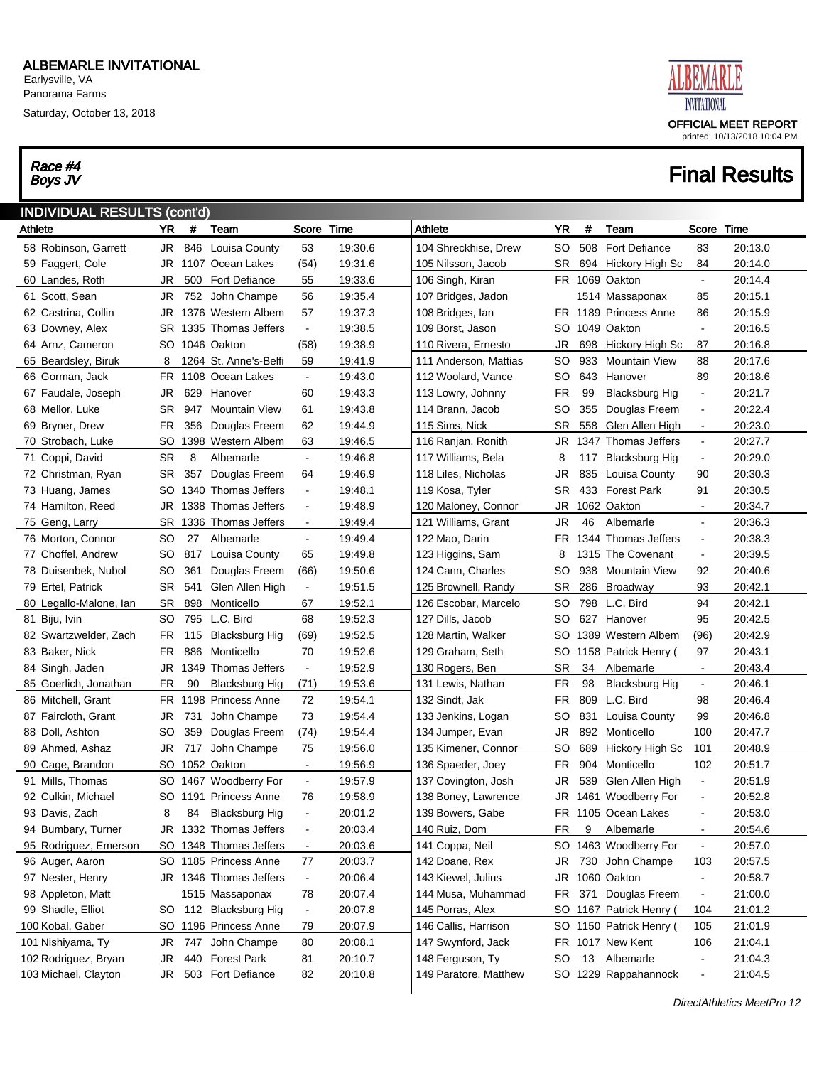Saturday, October 13, 2018

# Race #4<br>Boys JV



| <b>INDIVIDUAL RESULTS (cont'd)</b> |           |      |                        |                              |         |                       |               |     |                       |                          |         |
|------------------------------------|-----------|------|------------------------|------------------------------|---------|-----------------------|---------------|-----|-----------------------|--------------------------|---------|
| Athlete                            | YR        | $\#$ | Team                   | Score                        | Time    | Athlete               | YR            | #   | Team                  | Score                    | Time    |
| 58 Robinson, Garrett               | JR        | 846  | Louisa County          | 53                           | 19:30.6 | 104 Shreckhise, Drew  | SO            | 508 | <b>Fort Defiance</b>  | 83                       | 20:13.0 |
| 59 Faggert, Cole                   | JR        | 1107 | Ocean Lakes            | (54)                         | 19:31.6 | 105 Nilsson, Jacob    | <b>SR</b>     | 694 | Hickory High Sc       | 84                       | 20:14.0 |
| 60 Landes, Roth                    | JR        | 500  | Fort Defiance          | 55                           | 19:33.6 | 106 Singh, Kiran      |               |     | FR 1069 Oakton        | $\blacksquare$           | 20:14.4 |
| 61 Scott, Sean                     | <b>JR</b> | 752  | John Champe            | 56                           | 19:35.4 | 107 Bridges, Jadon    |               |     | 1514 Massaponax       | 85                       | 20:15.1 |
| 62 Castrina, Collin                | JR        |      | 1376 Western Albem     | 57                           | 19:37.3 | 108 Bridges, Ian      |               |     | FR 1189 Princess Anne | 86                       | 20:15.9 |
| 63 Downey, Alex                    | SR        |      | 1335 Thomas Jeffers    | $\blacksquare$               | 19:38.5 | 109 Borst, Jason      | SO            |     | 1049 Oakton           | $\blacksquare$           | 20:16.5 |
| 64 Arnz, Cameron                   | SO        |      | 1046 Oakton            | (58)                         | 19:38.9 | 110 Rivera, Ernesto   | JR            | 698 | Hickory High Sc       | 87                       | 20:16.8 |
| 65 Beardsley, Biruk                | 8         |      | 1264 St. Anne's-Belfi  | 59                           | 19:41.9 | 111 Anderson, Mattias | SO            | 933 | <b>Mountain View</b>  | 88                       | 20:17.6 |
| 66 Gorman, Jack                    | FR        |      | 1108 Ocean Lakes       | $\blacksquare$               | 19:43.0 | 112 Woolard, Vance    | SO            | 643 | Hanover               | 89                       | 20:18.6 |
| 67 Faudale, Joseph                 | <b>JR</b> | 629  | Hanover                | 60                           | 19:43.3 | 113 Lowry, Johnny     | <b>FR</b>     | 99  | <b>Blacksburg Hig</b> | $\blacksquare$           | 20:21.7 |
| 68 Mellor, Luke                    | <b>SR</b> | 947  | <b>Mountain View</b>   | 61                           | 19:43.8 | 114 Brann, Jacob      | SO            | 355 | Douglas Freem         | $\blacksquare$           | 20:22.4 |
| 69 Bryner, Drew                    | <b>FR</b> | 356  | Douglas Freem          | 62                           | 19:44.9 | 115 Sims, Nick        | <b>SR</b>     | 558 | Glen Allen High       | $\blacksquare$           | 20:23.0 |
| 70 Strobach, Luke                  | SO        |      | 1398 Western Albem     | 63                           | 19:46.5 | 116 Ranjan, Ronith    | JR            |     | 1347 Thomas Jeffers   | $\blacksquare$           | 20:27.7 |
| 71 Coppi, David                    | <b>SR</b> | 8    | Albemarle              | $\blacksquare$               | 19:46.8 | 117 Williams, Bela    | 8             | 117 | <b>Blacksburg Hig</b> | $\blacksquare$           | 20:29.0 |
| 72 Christman, Ryan                 | <b>SR</b> | 357  | Douglas Freem          | 64                           | 19:46.9 | 118 Liles, Nicholas   | JR            | 835 | Louisa County         | 90                       | 20:30.3 |
| 73 Huang, James                    | SO        |      | 1340 Thomas Jeffers    | $\blacksquare$               | 19:48.1 | 119 Kosa, Tyler       | <b>SR</b>     | 433 | <b>Forest Park</b>    | 91                       | 20:30.5 |
| 74 Hamilton, Reed                  | JR        |      | 1338 Thomas Jeffers    | $\overline{\phantom{a}}$     | 19:48.9 | 120 Maloney, Connor   | JR            |     | 1062 Oakton           | $\blacksquare$           | 20:34.7 |
| 75 Geng, Larry                     | <b>SR</b> |      | 1336 Thomas Jeffers    | $\blacksquare$               | 19:49.4 | 121 Williams, Grant   | JR            | 46  | Albemarle             | $\blacksquare$           | 20:36.3 |
| 76 Morton, Connor                  | <b>SO</b> | 27   | Albemarle              | $\blacksquare$               | 19:49.4 | 122 Mao, Darin        | FR            |     | 1344 Thomas Jeffers   | $\blacksquare$           | 20:38.3 |
| 77 Choffel, Andrew                 | <b>SO</b> | 817  | Louisa County          | 65                           | 19:49.8 | 123 Higgins, Sam      | 8             |     | 1315 The Covenant     | $\blacksquare$           | 20:39.5 |
| 78 Duisenbek, Nubol                | <b>SO</b> | 361  | Douglas Freem          | (66)                         | 19:50.6 | 124 Cann, Charles     | SO            | 938 | <b>Mountain View</b>  | 92                       | 20:40.6 |
| 79 Ertel, Patrick                  | <b>SR</b> | 541  | Glen Allen High        | $\blacksquare$               | 19:51.5 | 125 Brownell, Randy   | <b>SR</b>     | 286 | Broadway              | 93                       | 20:42.1 |
| 80 Legallo-Malone, Ian             | <b>SR</b> | 898  | Monticello             | 67                           | 19:52.1 | 126 Escobar, Marcelo  | SO            | 798 | L.C. Bird             | 94                       | 20:42.1 |
| 81 Biju, Ivin                      | SO        | 795  | L.C. Bird              | 68                           | 19:52.3 | 127 Dills, Jacob      | SO            | 627 | Hanover               | 95                       | 20:42.5 |
| 82 Swartzwelder, Zach              | <b>FR</b> | 115  | <b>Blacksburg Hig</b>  | (69)                         | 19:52.5 | 128 Martin, Walker    | SO            |     | 1389 Western Albem    | (96)                     | 20:42.9 |
| 83 Baker, Nick                     | FR        | 886  | Monticello             | 70                           | 19:52.6 | 129 Graham, Seth      | SO            |     | 1158 Patrick Henry (  | 97                       | 20:43.1 |
| 84 Singh, Jaden                    | JR        | 1349 | Thomas Jeffers         | $\blacksquare$               | 19:52.9 | 130 Rogers, Ben       | <b>SR</b>     | 34  | Albemarle             | $\blacksquare$           | 20:43.4 |
| 85 Goerlich, Jonathan              | <b>FR</b> | 90   | <b>Blacksburg Hig</b>  | (71)                         | 19:53.6 | 131 Lewis, Nathan     | <b>FR</b>     | 98  | <b>Blacksburg Hig</b> | $\blacksquare$           | 20:46.1 |
| 86 Mitchell, Grant                 | FR        | 1198 | <b>Princess Anne</b>   | 72                           | 19:54.1 | 132 Sindt, Jak        | FR            | 809 | L.C. Bird             | 98                       | 20:46.4 |
| 87 Faircloth, Grant                | <b>JR</b> | 731  | John Champe            | 73                           | 19:54.4 | 133 Jenkins, Logan    | SO            | 831 | Louisa County         | 99                       | 20:46.8 |
| 88 Doll, Ashton                    | <b>SO</b> | 359  | Douglas Freem          | (74)                         | 19:54.4 | 134 Jumper, Evan      | <b>JR</b>     | 892 | Monticello            | 100                      | 20:47.7 |
| 89 Ahmed, Ashaz                    | <b>JR</b> | 717  | John Champe            | 75                           | 19:56.0 | 135 Kimener, Connor   | <sub>SO</sub> | 689 | Hickory High Sc       | 101                      | 20:48.9 |
| 90 Cage, Brandon                   | SO        |      | 1052 Oakton            | $\blacksquare$               | 19:56.9 | 136 Spaeder, Joey     | <b>FR</b>     | 904 | Monticello            | 102                      | 20:51.7 |
| 91 Mills, Thomas                   | SO        |      | 1467 Woodberry For     | $\blacksquare$               | 19:57.9 | 137 Covington, Josh   | JR            | 539 | Glen Allen High       | $\blacksquare$           | 20:51.9 |
| 92 Culkin, Michael                 |           |      | SO 1191 Princess Anne  | 76                           | 19:58.9 | 138 Boney, Lawrence   | JR            |     | 1461 Woodberry For    | $\blacksquare$           | 20:52.8 |
| 93 Davis, Zach                     | 8         | 84   | <b>Blacksburg Hig</b>  | $\qquad \qquad \blacksquare$ | 20:01.2 | 139 Bowers, Gabe      |               |     | FR 1105 Ocean Lakes   |                          | 20:53.0 |
| 94 Bumbary, Turner                 | JR        |      | 1332 Thomas Jeffers    | $\overline{\phantom{a}}$     | 20:03.4 | 140 Ruiz, Dom         | <b>FR</b>     | 9   | Albemarle             | $\blacksquare$           | 20:54.6 |
| 95 Rodriguez, Emerson              | SO        |      | 1348 Thomas Jeffers    | $\blacksquare$               | 20:03.6 | 141 Coppa, Neil       | SO.           |     | 1463 Woodberry For    | $\blacksquare$           | 20:57.0 |
| 96 Auger, Aaron                    |           |      | SO 1185 Princess Anne  | 77                           | 20:03.7 | 142 Doane, Rex        | JR            |     | 730 John Champe       | 103                      | 20:57.5 |
| 97 Nester, Henry                   |           |      | JR 1346 Thomas Jeffers | $\blacksquare$               | 20:06.4 | 143 Kiewel, Julius    | JR            |     | 1060 Oakton           | $\blacksquare$           | 20:58.7 |
| 98 Appleton, Matt                  |           |      | 1515 Massaponax        | 78                           | 20:07.4 | 144 Musa, Muhammad    | <b>FR</b>     |     | 371 Douglas Freem     | $\blacksquare$           | 21:00.0 |
| 99 Shadle, Elliot                  | SO        | 112  | <b>Blacksburg Hig</b>  | $\blacksquare$               | 20:07.8 | 145 Porras, Alex      | SO            |     | 1167 Patrick Henry (  | 104                      | 21:01.2 |
| 100 Kobal, Gaber                   | SO        |      | 1196 Princess Anne     | 79                           | 20:07.9 | 146 Callis, Harrison  | SO.           |     | 1150 Patrick Henry (  | 105                      | 21:01.9 |
| 101 Nishiyama, Ty                  | JR        | 747  | John Champe            | 80                           | 20:08.1 | 147 Swynford, Jack    |               |     | FR 1017 New Kent      | 106                      | 21:04.1 |
| 102 Rodriguez, Bryan               | JR        | 440  | <b>Forest Park</b>     | 81                           | 20:10.7 | 148 Ferguson, Ty      | <b>SO</b>     | 13  | Albemarle             | $\blacksquare$           | 21:04.3 |
| 103 Michael, Clayton               | JR        | 503  | Fort Defiance          | 82                           | 20:10.8 | 149 Paratore, Matthew | SO.           |     | 1229 Rappahannock     | $\overline{\phantom{a}}$ | 21:04.5 |
|                                    |           |      |                        |                              |         |                       |               |     |                       |                          |         |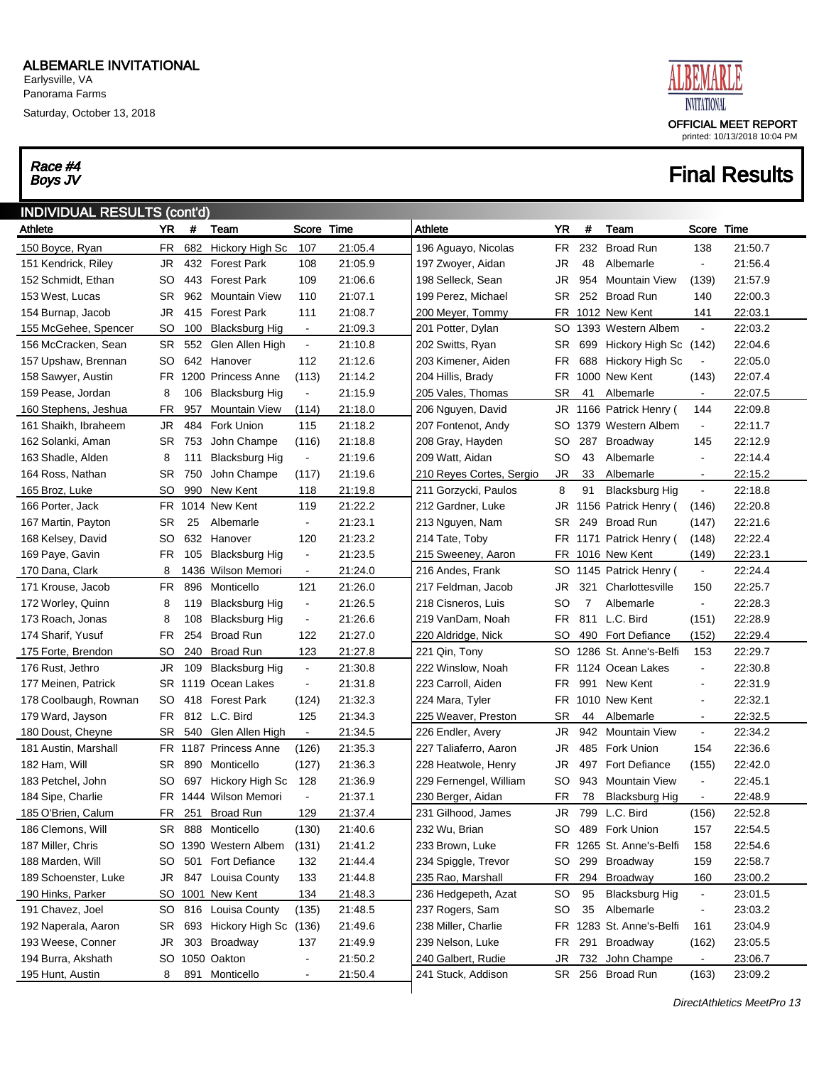Saturday, October 13, 2018

# Race #4<br>Boys JV



| <b>INDIVIDUAL RESULTS (cont'd)</b> |           |      |                           |                          |         |                          |           |     |                         |                          |         |
|------------------------------------|-----------|------|---------------------------|--------------------------|---------|--------------------------|-----------|-----|-------------------------|--------------------------|---------|
| Athlete                            | <b>YR</b> | #    | Team                      | Score Time               |         | Athlete                  | YR        | #   | Team                    | Score                    | Time    |
| 150 Boyce, Ryan                    | FR        | 682  | Hickory High Sc           | 107                      | 21:05.4 | 196 Aguayo, Nicolas      | FR.       | 232 | <b>Broad Run</b>        | 138                      | 21:50.7 |
| 151 Kendrick, Riley                | JR        |      | 432 Forest Park           | 108                      | 21:05.9 | 197 Zwoyer, Aidan        | JR        | 48  | Albemarle               | $\blacksquare$           | 21:56.4 |
| 152 Schmidt, Ethan                 | SO        |      | 443 Forest Park           | 109                      | 21:06.6 | 198 Selleck, Sean        | JR        | 954 | <b>Mountain View</b>    | (139)                    | 21:57.9 |
| 153 West, Lucas                    | SR        |      | 962 Mountain View         | 110                      | 21:07.1 | 199 Perez, Michael       | SR.       | 252 | <b>Broad Run</b>        | 140                      | 22:00.3 |
| 154 Burnap, Jacob                  | JR        |      | 415 Forest Park           | 111                      | 21:08.7 | 200 Meyer, Tommy         | FR        |     | 1012 New Kent           | 141                      | 22:03.1 |
| 155 McGehee, Spencer               | SO        | 100  | <b>Blacksburg Hig</b>     | $\sim$                   | 21:09.3 | 201 Potter, Dylan        | SO        |     | 1393 Western Albem      | $\blacksquare$           | 22:03.2 |
| 156 McCracken, Sean                | SR        | 552  | Glen Allen High           | $\blacksquare$           | 21:10.8 | 202 Switts, Ryan         | SR.       | 699 | Hickory High Sc         | (142)                    | 22:04.6 |
| 157 Upshaw, Brennan                | SO        |      | 642 Hanover               | 112                      | 21:12.6 | 203 Kimener, Aiden       | FR.       | 688 | Hickory High Sc         | $\blacksquare$           | 22:05.0 |
| 158 Sawyer, Austin                 | FR.       |      | 1200 Princess Anne        | (113)                    | 21:14.2 | 204 Hillis, Brady        | FR.       |     | 1000 New Kent           | (143)                    | 22:07.4 |
| 159 Pease, Jordan                  | 8         | 106  | <b>Blacksburg Hig</b>     | $\blacksquare$           | 21:15.9 | 205 Vales, Thomas        | <b>SR</b> | 41  | Albemarle               | $\blacksquare$           | 22:07.5 |
| 160 Stephens, Jeshua               | FR        | 957  | <b>Mountain View</b>      | (114)                    | 21:18.0 | 206 Nguyen, David        | JR        |     | 1166 Patrick Henry (    | 144                      | 22:09.8 |
| 161 Shaikh, Ibraheem               | JR        | 484  | Fork Union                | 115                      | 21:18.2 | 207 Fontenot, Andy       | SO        |     | 1379 Western Albem      | $\blacksquare$           | 22:11.7 |
| 162 Solanki, Aman                  | SR        | 753  | John Champe               | (116)                    | 21:18.8 | 208 Gray, Hayden         | SO        | 287 | Broadway                | 145                      | 22:12.9 |
| 163 Shadle, Alden                  | 8         | 111  | <b>Blacksburg Hig</b>     | $\blacksquare$           | 21:19.6 | 209 Watt, Aidan          | SO        | 43  | Albemarle               | $\blacksquare$           | 22:14.4 |
| 164 Ross, Nathan                   | SR        | 750  | John Champe               | (117)                    | 21:19.6 | 210 Reyes Cortes, Sergio | JR        | 33  | Albemarle               | $\blacksquare$           | 22:15.2 |
| 165 Broz, Luke                     | SO        | 990  | New Kent                  | 118                      | 21:19.8 | 211 Gorzycki, Paulos     | 8         | 91  | <b>Blacksburg Hig</b>   | $\blacksquare$           | 22:18.8 |
| 166 Porter, Jack                   | FR        |      | 1014 New Kent             | 119                      | 21:22.2 | 212 Gardner, Luke        | JR        |     | 1156 Patrick Henry (    | (146)                    | 22:20.8 |
| 167 Martin, Payton                 | SR        | 25   | Albemarle                 | $\blacksquare$           | 21:23.1 | 213 Nguyen, Nam          | <b>SR</b> | 249 | <b>Broad Run</b>        | (147)                    | 22:21.6 |
| 168 Kelsey, David                  | SO        |      | 632 Hanover               | 120                      | 21:23.2 | 214 Tate, Toby           |           |     | FR 1171 Patrick Henry ( | (148)                    | 22:22.4 |
| 169 Paye, Gavin                    | FR        | 105  | <b>Blacksburg Hig</b>     | $\blacksquare$           | 21:23.5 | 215 Sweeney, Aaron       | FR        |     | 1016 New Kent           | (149)                    | 22:23.1 |
| 170 Dana, Clark                    | 8         |      | 1436 Wilson Memori        | $\sim$                   | 21:24.0 | 216 Andes, Frank         | SO        |     | 1145 Patrick Henry (    | $\blacksquare$           | 22:24.4 |
| 171 Krouse, Jacob                  | FR        | 896  | Monticello                | 121                      | 21:26.0 | 217 Feldman, Jacob       | JR        | 321 | Charlottesville         | 150                      | 22:25.7 |
| 172 Worley, Quinn                  | 8         | 119  | <b>Blacksburg Hig</b>     | $\blacksquare$           | 21:26.5 | 218 Cisneros, Luis       | SO        | 7   | Albemarle               | $\blacksquare$           | 22:28.3 |
| 173 Roach, Jonas                   | 8         | 108  | <b>Blacksburg Hig</b>     | $\blacksquare$           | 21:26.6 | 219 VanDam, Noah         | FR.       | 811 | L.C. Bird               | (151)                    | 22:28.9 |
| 174 Sharif, Yusuf                  | FR        | 254  | <b>Broad Run</b>          | 122                      | 21:27.0 | 220 Aldridge, Nick       | SO        | 490 | <b>Fort Defiance</b>    | (152)                    | 22:29.4 |
| 175 Forte, Brendon                 | SO        | 240  | <b>Broad Run</b>          | 123                      | 21:27.8 | 221 Qin, Tony            | SO        |     | 1286 St. Anne's-Belfi   | 153                      | 22:29.7 |
| 176 Rust, Jethro                   | JR        | 109  | <b>Blacksburg Hig</b>     | $\blacksquare$           | 21:30.8 | 222 Winslow, Noah        | FR.       |     | 1124 Ocean Lakes        | $\blacksquare$           | 22:30.8 |
| 177 Meinen, Patrick                | SR        | 1119 | Ocean Lakes               | $\blacksquare$           | 21:31.8 | 223 Carroll, Aiden       | <b>FR</b> | 991 | New Kent                | $\blacksquare$           | 22:31.9 |
| 178 Coolbaugh, Rownan              | SO        | 418  | <b>Forest Park</b>        | (124)                    | 21:32.3 | 224 Mara, Tyler          | FR.       |     | 1010 New Kent           | $\overline{\phantom{a}}$ | 22:32.1 |
| 179 Ward, Jayson                   | FR.       |      | 812 L.C. Bird             | 125                      | 21:34.3 | 225 Weaver, Preston      | <b>SR</b> | 44  | Albemarle               | $\blacksquare$           | 22:32.5 |
| 180 Doust, Cheyne                  | SR        | 540  | Glen Allen High           | $\blacksquare$           | 21:34.5 | 226 Endler, Avery        | JR        | 942 | <b>Mountain View</b>    | $\blacksquare$           | 22:34.2 |
| 181 Austin, Marshall               | FR        |      | 1187 Princess Anne        | (126)                    | 21:35.3 | 227 Taliaferro, Aaron    | JR        | 485 | <b>Fork Union</b>       | 154                      | 22:36.6 |
| 182 Ham, Will                      | SR        | 890  | Monticello                | (127)                    | 21:36.3 | 228 Heatwole, Henry      | JR        | 497 | <b>Fort Defiance</b>    | (155)                    | 22:42.0 |
| 183 Petchel, John                  | SO        | 697  | Hickory High Sc           | 128                      | 21:36.9 | 229 Fernengel, William   | SO        | 943 | <b>Mountain View</b>    | $\blacksquare$           | 22:45.1 |
| 184 Sipe, Charlie                  |           |      | FR 1444 Wilson Memori     | $\blacksquare$           | 21:37.1 | 230 Berger, Aidan        | FR        | 78  | <b>Blacksburg Hig</b>   | $\blacksquare$           | 22:48.9 |
| 185 O'Brien, Calum                 | FR        | 251  | <b>Broad Run</b>          | 129                      | 21:37.4 | 231 Gilhood, James       | JR        |     | 799 L.C. Bird           | (156)                    | 22:52.8 |
| 186 Clemons, Will                  | SR        |      | 888 Monticello            | (130)                    | 21:40.6 | 232 Wu, Brian            | SO        |     | 489 Fork Union          | 157                      | 22:54.5 |
| 187 Miller, Chris                  | SO        |      | 1390 Western Albem        | (131)                    | 21:41.2 | 233 Brown, Luke          | FR        |     | 1265 St. Anne's-Belfi   | 158                      | 22:54.6 |
| 188 Marden, Will                   | SO        |      | 501 Fort Defiance         | 132                      | 21:44.4 | 234 Spiggle, Trevor      | SO        |     | 299 Broadway            | 159                      | 22:58.7 |
| 189 Schoenster, Luke               | JR.       |      | 847 Louisa County         | 133                      | 21:44.8 | 235 Rao, Marshall        | FR        | 294 | Broadway                | 160                      | 23:00.2 |
| 190 Hinks, Parker                  | SO        |      | 1001 New Kent             | 134                      | 21:48.3 | 236 Hedgepeth, Azat      | <b>SO</b> | 95  | <b>Blacksburg Hig</b>   | $\blacksquare$           | 23:01.5 |
| 191 Chavez, Joel                   | SO        |      | 816 Louisa County         | (135)                    | 21:48.5 | 237 Rogers, Sam          | SO        | 35  | Albemarle               | $\blacksquare$           | 23:03.2 |
| 192 Naperala, Aaron                | SR        |      | 693 Hickory High Sc (136) |                          | 21:49.6 | 238 Miller, Charlie      | FR        |     | 1283 St. Anne's-Belfi   | 161                      | 23:04.9 |
| 193 Weese, Conner                  | JR        |      | 303 Broadway              | 137                      | 21:49.9 | 239 Nelson, Luke         | FR        | 291 | <b>Broadway</b>         | (162)                    | 23:05.5 |
| 194 Burra, Akshath                 | SO        |      | 1050 Oakton               | $\blacksquare$           | 21:50.2 | 240 Galbert, Rudie       | JR        | 732 | John Champe             | $\blacksquare$           | 23:06.7 |
| 195 Hunt, Austin                   | 8         | 891  | Monticello                | $\overline{\phantom{a}}$ | 21:50.4 | 241 Stuck, Addison       | SR        |     | 256 Broad Run           | (163)                    | 23:09.2 |
|                                    |           |      |                           |                          |         |                          |           |     |                         |                          |         |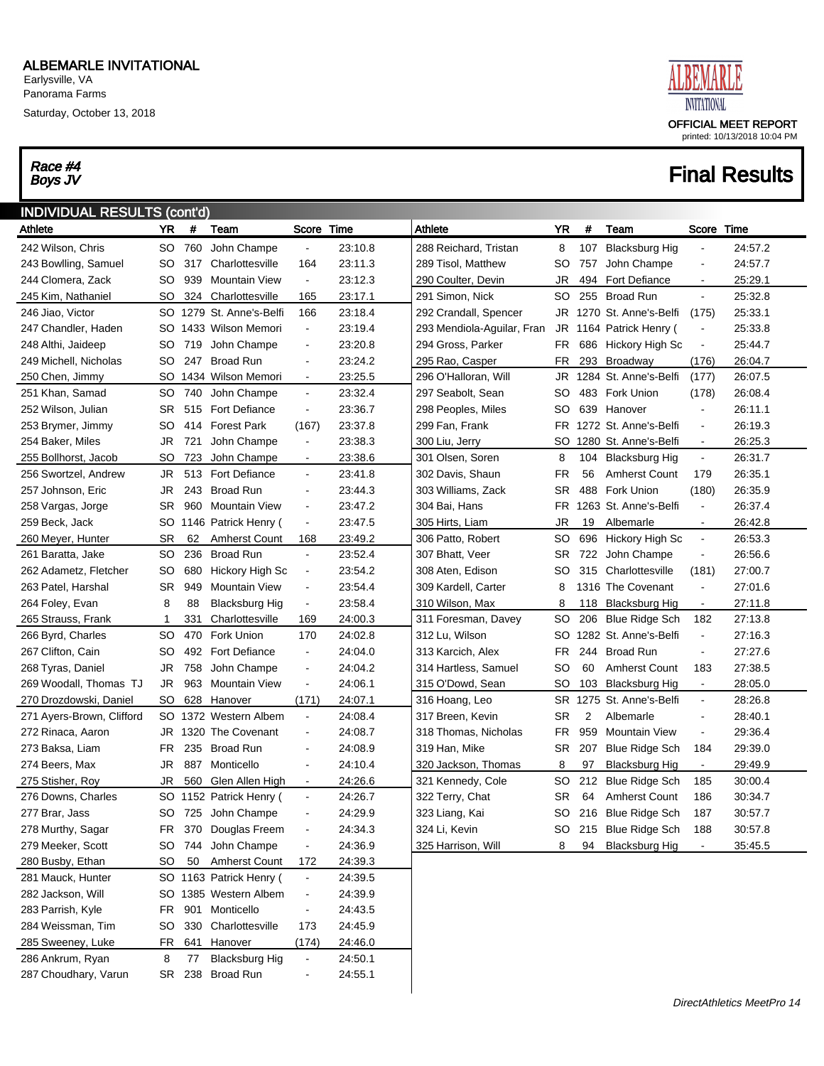Saturday, October 13, 2018

# Race #4<br>Boys JV



| <b>INDIVIDUAL RESULTS (cont'd)</b> |           |         |                         |                          |         |                            |           |     |                       |                      |         |
|------------------------------------|-----------|---------|-------------------------|--------------------------|---------|----------------------------|-----------|-----|-----------------------|----------------------|---------|
| Athlete                            | YR        | #       | Team                    | Score Time               |         | Athlete                    | YR        | #   | Team                  | Score Time           |         |
| 242 Wilson, Chris                  | SO.       | 760     | John Champe             | $\blacksquare$           | 23:10.8 | 288 Reichard, Tristan      | 8         | 107 | <b>Blacksburg Hig</b> | $\blacksquare$       | 24:57.2 |
| 243 Bowlling, Samuel               | SO.       | 317     | Charlottesville         | 164                      | 23:11.3 | 289 Tisol, Matthew         | SO        | 757 | John Champe           | $\ddot{\phantom{a}}$ | 24:57.7 |
| 244 Clomera, Zack                  | SO        | 939     | <b>Mountain View</b>    | $\blacksquare$           | 23:12.3 | 290 Coulter, Devin         | JR        | 494 | <b>Fort Defiance</b>  | $\blacksquare$       | 25:29.1 |
| 245 Kim, Nathaniel                 | SO.       | 324     | Charlottesville         | 165                      | 23:17.1 | 291 Simon, Nick            | <b>SO</b> | 255 | <b>Broad Run</b>      | $\blacksquare$       | 25:32.8 |
| 246 Jiao, Victor                   | SO        | 1279    | St. Anne's-Belfi        | 166                      | 23:18.4 | 292 Crandall, Spencer      | JR        |     | 1270 St. Anne's-Belfi | (175)                | 25:33.1 |
| 247 Chandler, Haden                |           |         | SO 1433 Wilson Memori   | $\blacksquare$           | 23:19.4 | 293 Mendiola-Aguilar, Fran | JR        |     | 1164 Patrick Henry (  | $\blacksquare$       | 25:33.8 |
| 248 Althi, Jaideep                 | SO.       | 719     | John Champe             | $\blacksquare$           | 23:20.8 | 294 Gross, Parker          | FR        |     | 686 Hickory High Sc   | $\blacksquare$       | 25:44.7 |
| 249 Michell, Nicholas              | SO        | 247     | <b>Broad Run</b>        | $\blacksquare$           | 23:24.2 | 295 Rao, Casper            | FR.       | 293 | Broadway              | (176)                | 26:04.7 |
| 250 Chen, Jimmy                    | SO.       |         | 1434 Wilson Memori      | $\blacksquare$           | 23:25.5 | 296 O'Halloran, Will       | JR        |     | 1284 St. Anne's-Belfi | (177)                | 26:07.5 |
| 251 Khan, Samad                    | <b>SO</b> | 740     | John Champe             | $\blacksquare$           | 23:32.4 | 297 Seabolt, Sean          | SO        |     | 483 Fork Union        | (178)                | 26:08.4 |
| 252 Wilson, Julian                 | SR        | 515     | <b>Fort Defiance</b>    | $\blacksquare$           | 23:36.7 | 298 Peoples, Miles         | SO        | 639 | Hanover               | $\blacksquare$       | 26:11.1 |
| 253 Brymer, Jimmy                  | SO        | 414     | <b>Forest Park</b>      | (167)                    | 23:37.8 | 299 Fan, Frank             | <b>FR</b> |     | 1272 St. Anne's-Belfi | $\blacksquare$       | 26:19.3 |
| 254 Baker, Miles                   | JR        | 721     | John Champe             | $\blacksquare$           | 23:38.3 | 300 Liu, Jerry             | SO        |     | 1280 St. Anne's-Belfi | $\blacksquare$       | 26:25.3 |
| 255 Bollhorst, Jacob               | <b>SO</b> | 723     | John Champe             | $\blacksquare$           | 23:38.6 | 301 Olsen, Soren           | 8         | 104 | Blacksburg Hig        | $\blacksquare$       | 26:31.7 |
| 256 Swortzel, Andrew               | JR        | 513     | <b>Fort Defiance</b>    | $\blacksquare$           | 23:41.8 | 302 Davis, Shaun           | FR        | 56  | <b>Amherst Count</b>  | 179                  | 26:35.1 |
| 257 Johnson, Eric                  | JR        | 243     | <b>Broad Run</b>        | $\blacksquare$           | 23:44.3 | 303 Williams, Zack         | SR.       | 488 | <b>Fork Union</b>     | (180)                | 26:35.9 |
| 258 Vargas, Jorge                  | SR        | 960     | <b>Mountain View</b>    | $\blacksquare$           | 23:47.2 | 304 Bai, Hans              | FR.       |     | 1263 St. Anne's-Belfi | $\blacksquare$       | 26:37.4 |
| 259 Beck, Jack                     | SO        |         | 1146 Patrick Henry (    | $\blacksquare$           | 23:47.5 | 305 Hirts, Liam            | JR        | 19  | Albemarle             | $\blacksquare$       | 26:42.8 |
| 260 Meyer, Hunter                  | <b>SR</b> | 62      | <b>Amherst Count</b>    | 168                      | 23:49.2 | 306 Patto, Robert          | <b>SO</b> | 696 | Hickory High Sc       | $\blacksquare$       | 26:53.3 |
| 261 Baratta, Jake                  | <b>SO</b> | 236     | <b>Broad Run</b>        | $\blacksquare$           | 23:52.4 | 307 Bhatt, Veer            | SR.       | 722 | John Champe           | $\blacksquare$       | 26:56.6 |
| 262 Adametz, Fletcher              | <b>SO</b> | 680     | Hickory High Sc         | $\blacksquare$           | 23:54.2 | 308 Aten, Edison           | SO        | 315 | Charlottesville       | (181)                | 27:00.7 |
| 263 Patel, Harshal                 | SR        | 949     | <b>Mountain View</b>    | $\blacksquare$           | 23:54.4 | 309 Kardell, Carter        | 8         |     | 1316 The Covenant     | $\blacksquare$       | 27:01.6 |
| 264 Foley, Evan                    | 8         | 88      | <b>Blacksburg Hig</b>   | $\blacksquare$           | 23:58.4 | 310 Wilson, Max            | 8         | 118 | Blacksburg Hig        | $\blacksquare$       | 27:11.8 |
| 265 Strauss, Frank                 | 1         | 331     | Charlottesville         | 169                      | 24:00.3 | 311 Foresman, Davey        | <b>SO</b> | 206 | <b>Blue Ridge Sch</b> | 182                  | 27:13.8 |
| 266 Byrd, Charles                  | SO        | 470     | Fork Union              | 170                      | 24:02.8 | 312 Lu, Wilson             | SO        |     | 1282 St. Anne's-Belfi | $\blacksquare$       | 27:16.3 |
| 267 Clifton, Cain                  | SO        | 492     | <b>Fort Defiance</b>    | $\blacksquare$           | 24:04.0 | 313 Karcich, Alex          | FR.       | 244 | <b>Broad Run</b>      | $\blacksquare$       | 27:27.6 |
| 268 Tyras, Daniel                  | JR        | 758     | John Champe             | $\blacksquare$           | 24:04.2 | 314 Hartless, Samuel       | SO        | 60  | <b>Amherst Count</b>  | 183                  | 27:38.5 |
| 269 Woodall, Thomas TJ             | JR        | 963     | <b>Mountain View</b>    | $\blacksquare$           | 24:06.1 | 315 O'Dowd, Sean           | <b>SO</b> | 103 | Blacksburg Hig        | $\blacksquare$       | 28:05.0 |
| 270 Drozdowski, Daniel             | SO.       | 628     | Hanover                 | (171)                    | 24:07.1 | 316 Hoang, Leo             | SR        |     | 1275 St. Anne's-Belfi | $\blacksquare$       | 28:26.8 |
| 271 Ayers-Brown, Clifford          | SO.       | 1372    | Western Albem           | $\blacksquare$           | 24:08.4 | 317 Breen, Kevin           | <b>SR</b> | 2   | Albemarle             | $\blacksquare$       | 28:40.1 |
| 272 Rinaca, Aaron                  |           | JR 1320 | The Covenant            | $\blacksquare$           | 24:08.7 | 318 Thomas, Nicholas       | FR.       | 959 | <b>Mountain View</b>  | $\blacksquare$       | 29:36.4 |
| 273 Baksa, Liam                    | FR        | 235     | <b>Broad Run</b>        | $\blacksquare$           | 24:08.9 | 319 Han, Mike              | SR        | 207 | Blue Ridge Sch        | 184                  | 29:39.0 |
| 274 Beers, Max                     | JR        | 887     | Monticello              | $\blacksquare$           | 24:10.4 | 320 Jackson, Thomas        | 8         | 97  | <b>Blacksburg Hig</b> | $\blacksquare$       | 29:49.9 |
| 275 Stisher, Roy                   | JR        | 560     | Glen Allen High         | $\blacksquare$           | 24:26.6 | 321 Kennedy, Cole          | SO        | 212 | <b>Blue Ridge Sch</b> | 185                  | 30:00.4 |
| 276 Downs, Charles                 |           |         | SO 1152 Patrick Henry ( |                          | 24:26.7 | 322 Terry, Chat            | SR        | 64  | <b>Amherst Count</b>  | 186                  | 30:34.7 |
| 277 Brar, Jass                     |           |         | SO 725 John Champe      |                          | 24:29.9 | 323 Liang, Kai             | SO        |     | 216 Blue Ridge Sch    | 187                  | 30:57.7 |
| 278 Murthy, Sagar                  | FR        | 370     | Douglas Freem           |                          | 24:34.3 | 324 Li, Kevin              | SO        |     | 215 Blue Ridge Sch    | 188                  | 30:57.8 |
| 279 Meeker, Scott                  | SO        |         | 744 John Champe         | $\blacksquare$           | 24:36.9 | 325 Harrison, Will         | 8         | 94  | <b>Blacksburg Hig</b> | $\blacksquare$       | 35:45.5 |
| 280 Busby, Ethan                   | <b>SO</b> | 50      | <b>Amherst Count</b>    | 172                      | 24:39.3 |                            |           |     |                       |                      |         |
| 281 Mauck, Hunter                  |           |         | SO 1163 Patrick Henry ( | $\blacksquare$           | 24:39.5 |                            |           |     |                       |                      |         |
| 282 Jackson, Will                  |           |         | SO 1385 Western Albem   | $\blacksquare$           | 24:39.9 |                            |           |     |                       |                      |         |
| 283 Parrish, Kyle                  | FR        | 901     | Monticello              | $\blacksquare$           | 24:43.5 |                            |           |     |                       |                      |         |
| 284 Weissman, Tim                  | SO        | 330     | Charlottesville         | 173                      | 24:45.9 |                            |           |     |                       |                      |         |
| 285 Sweeney, Luke                  | FR        | 641     | Hanover                 | (174)                    | 24:46.0 |                            |           |     |                       |                      |         |
| 286 Ankrum, Ryan                   | 8         | 77      | <b>Blacksburg Hig</b>   | $\blacksquare$           | 24:50.1 |                            |           |     |                       |                      |         |
| 287 Choudhary, Varun               | SR        | 238     | <b>Broad Run</b>        | $\overline{\phantom{a}}$ | 24:55.1 |                            |           |     |                       |                      |         |
|                                    |           |         |                         |                          |         |                            |           |     |                       |                      |         |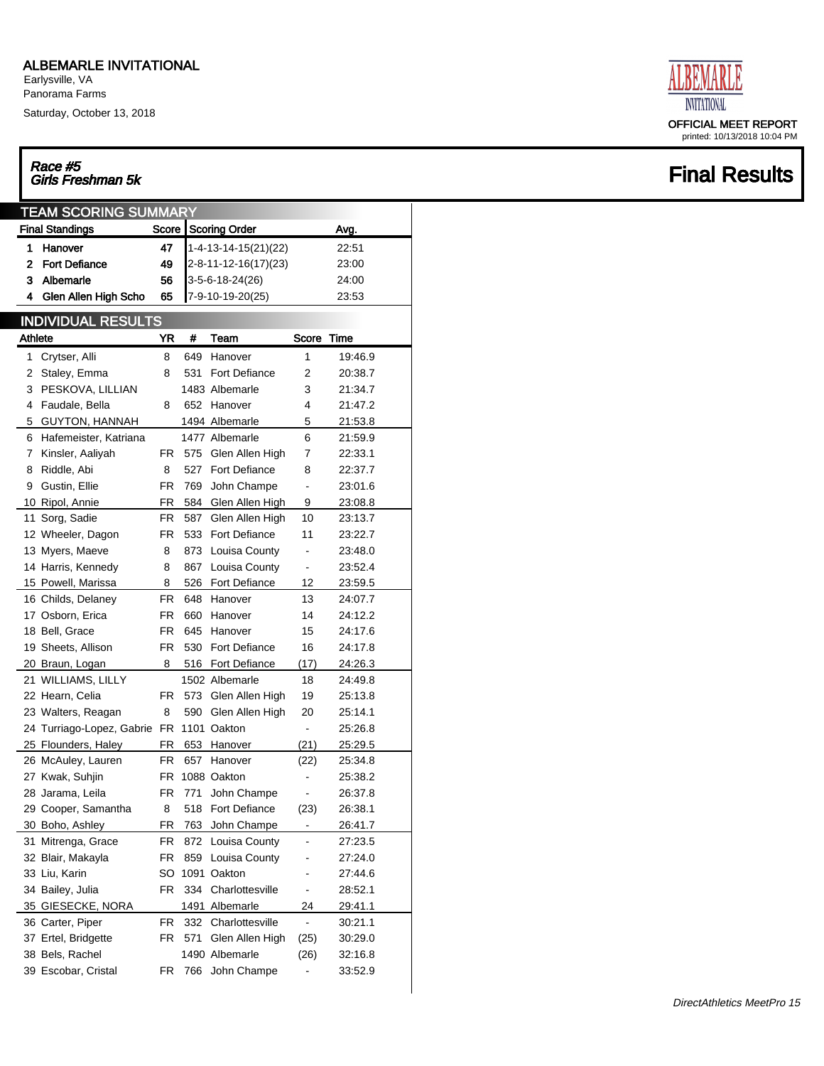Earlysville, VA Panorama Farms

Saturday, October 13, 2018

## Race #5<br>Girls Freshman 5k

| <b>TEAM SCORING SUMMARY</b> |                              |           |      |                      |                          |         |  |  |  |  |  |
|-----------------------------|------------------------------|-----------|------|----------------------|--------------------------|---------|--|--|--|--|--|
|                             | <b>Final Standings</b>       | Score     |      | <b>Scoring Order</b> | Avg.                     |         |  |  |  |  |  |
| 1                           | Hanover                      | 47        |      | 1-4-13-14-15(21)(22) |                          | 22:51   |  |  |  |  |  |
| 2                           | <b>Fort Defiance</b>         | 49        |      | 2-8-11-12-16(17)(23) |                          | 23:00   |  |  |  |  |  |
| 3                           | Albemarle                    | 56        |      | $3-5-6-18-24(26)$    |                          | 24:00   |  |  |  |  |  |
| 4                           | Glen Allen High Scho         | 65        |      | 7-9-10-19-20(25)     |                          | 23:53   |  |  |  |  |  |
|                             |                              |           |      |                      |                          |         |  |  |  |  |  |
|                             | <b>INDIVIDUAL RESULTS</b>    |           |      |                      |                          |         |  |  |  |  |  |
| <b>Athlete</b>              |                              | YR        | #    | Team                 | Score                    | Time    |  |  |  |  |  |
| 1                           | Crytser, Alli                | 8         | 649  | Hanover              | 1                        | 19:46.9 |  |  |  |  |  |
| 2                           | Staley, Emma                 | 8         | 531  | Fort Defiance        | 2                        | 20:38.7 |  |  |  |  |  |
| 3                           | PESKOVA, LILLIAN             |           |      | 1483 Albemarle       | 3                        | 21:34.7 |  |  |  |  |  |
| 4                           | Faudale, Bella               | 8         | 652  | Hanover              | 4                        | 21:47.2 |  |  |  |  |  |
| 5                           | <b>GUYTON, HANNAH</b>        |           |      | 1494 Albemarle       | 5                        | 21:53.8 |  |  |  |  |  |
| 6                           | Hafemeister, Katriana        |           |      | 1477 Albemarle       | 6                        | 21:59.9 |  |  |  |  |  |
| 7                           | Kinsler, Aaliyah             | FR.       | 575  | Glen Allen High      | 7                        | 22:33.1 |  |  |  |  |  |
| 8                           | Riddle, Abi                  | 8         | 527  | <b>Fort Defiance</b> | 8                        | 22:37.7 |  |  |  |  |  |
| 9                           | Gustin, Ellie                | <b>FR</b> | 769  | John Champe          | $\overline{a}$           | 23:01.6 |  |  |  |  |  |
|                             | 10 Ripol, Annie              | FR        | 584  | Glen Allen High      | 9                        | 23:08.8 |  |  |  |  |  |
| 11                          | Sorg, Sadie                  | FR        | 587  | Glen Allen High      | 10                       | 23:13.7 |  |  |  |  |  |
|                             | 12 Wheeler, Dagon            | FR        | 533  | Fort Defiance        | 11                       | 23:22.7 |  |  |  |  |  |
|                             | 13 Myers, Maeve              | 8         | 873  | Louisa County        | $\overline{a}$           | 23:48.0 |  |  |  |  |  |
|                             | 14 Harris, Kennedy           | 8         | 867  | Louisa County        | $\overline{\phantom{a}}$ | 23:52.4 |  |  |  |  |  |
|                             | 15 Powell, Marissa           | 8         | 526  | Fort Defiance        | 12                       | 23:59.5 |  |  |  |  |  |
|                             | 16 Childs, Delaney           | FR.       | 648  | Hanover              | 13                       | 24:07.7 |  |  |  |  |  |
|                             | 17 Osborn, Erica             | FR.       | 660  | Hanover              | 14                       | 24:12.2 |  |  |  |  |  |
|                             | 18 Bell, Grace               | FR.       | 645  | Hanover              | 15                       | 24:17.6 |  |  |  |  |  |
|                             | 19 Sheets, Allison           | <b>FR</b> | 530  | Fort Defiance        | 16                       | 24:17.8 |  |  |  |  |  |
|                             | 20 Braun, Logan              | 8         | 516  | <b>Fort Defiance</b> | (17)                     | 24:26.3 |  |  |  |  |  |
|                             | 21 WILLIAMS, LILLY           |           |      | 1502 Albemarle       | 18                       | 24:49.8 |  |  |  |  |  |
|                             | 22 Hearn, Celia              | FR.       | 573  | Glen Allen High      | 19                       | 25:13.8 |  |  |  |  |  |
|                             | 23 Walters, Reagan           | 8         | 590  | Glen Allen High      | 20                       | 25:14.1 |  |  |  |  |  |
|                             | 24 Turriago-Lopez, Gabrie FR |           |      | 1101 Oakton          | $\overline{a}$           | 25:26.8 |  |  |  |  |  |
|                             | 25 Flounders, Haley          | FR        | 653  | Hanover              | (21)                     | 25:29.5 |  |  |  |  |  |
|                             | 26 McAuley, Lauren           | FR.       | 657  | Hanover              | (22)                     | 25:34.8 |  |  |  |  |  |
|                             | 27 Kwak, Suhjin              | FR.       |      | 1088 Oakton          |                          | 25:38.2 |  |  |  |  |  |
|                             | 28 Jarama, Leila             | FR        | 771  | John Champe          |                          | 26:37.8 |  |  |  |  |  |
|                             | 29 Cooper, Samantha          | 8         | 518  | Fort Defiance        | (23)                     | 26:38.1 |  |  |  |  |  |
|                             | 30 Boho, Ashley              | FR        | 763  | John Champe          | $\overline{\phantom{0}}$ | 26:41.7 |  |  |  |  |  |
| 31                          | Mitrenga, Grace              | FR        | 872  | Louisa County        | -                        | 27:23.5 |  |  |  |  |  |
|                             | 32 Blair, Makayla            | FR        | 859  | Louisa County        | -                        | 27:24.0 |  |  |  |  |  |
|                             | 33 Liu, Karin                | SO        | 1091 | Oakton               | -                        | 27:44.6 |  |  |  |  |  |
|                             | 34 Bailey, Julia             | FR        | 334  | Charlottesville      | $\overline{\phantom{a}}$ | 28:52.1 |  |  |  |  |  |
|                             | 35 GIESECKE, NORA            |           | 1491 | Albemarle            | 24                       | 29:41.1 |  |  |  |  |  |
|                             | 36 Carter, Piper             | FR        | 332  | Charlottesville      | $\overline{a}$           | 30:21.1 |  |  |  |  |  |
|                             | 37 Ertel, Bridgette          | FR        | 571  | Glen Allen High      | (25)                     | 30:29.0 |  |  |  |  |  |
|                             | 38 Bels, Rachel              |           | 1490 | Albemarle            | (26)                     | 32:16.8 |  |  |  |  |  |
|                             | 39 Escobar, Cristal          | FR        | 766  | John Champe          | $\frac{1}{2}$            | 33:52.9 |  |  |  |  |  |
|                             |                              |           |      |                      |                          |         |  |  |  |  |  |